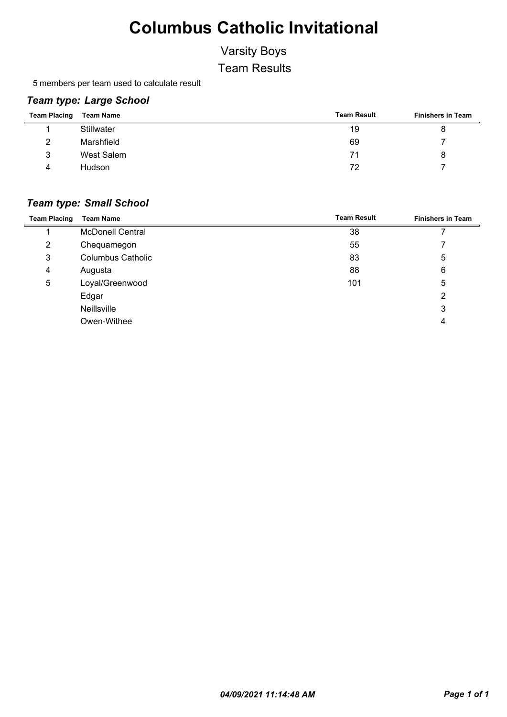### Varsity Boys

Team Results

5 members per team used to calculate result

#### *Team type: Large School*

| <b>Team Placing</b> | <b>Team Name</b> | <b>Team Result</b> | <b>Finishers in Team</b> |
|---------------------|------------------|--------------------|--------------------------|
|                     | Stillwater       | 19                 |                          |
| $\mathcal{D}$       | Marshfield       | 69                 |                          |
| 3                   | West Salem       | 71                 |                          |
| 4                   | Hudson           | 72                 |                          |

#### *Team type: Small School*

| <b>Team Placing</b> | <b>Team Name</b>         | <b>Team Result</b> | <b>Finishers in Team</b> |
|---------------------|--------------------------|--------------------|--------------------------|
|                     | <b>McDonell Central</b>  | 38                 |                          |
| $\overline{2}$      | Chequamegon              | 55                 |                          |
| 3                   | <b>Columbus Catholic</b> | 83                 | 5                        |
| 4                   | Augusta                  | 88                 | 6                        |
| 5                   | Loyal/Greenwood          | 101                | 5                        |
|                     | Edgar                    |                    | 2                        |
|                     | Neillsville              |                    | 3                        |
|                     | Owen-Withee              |                    | 4                        |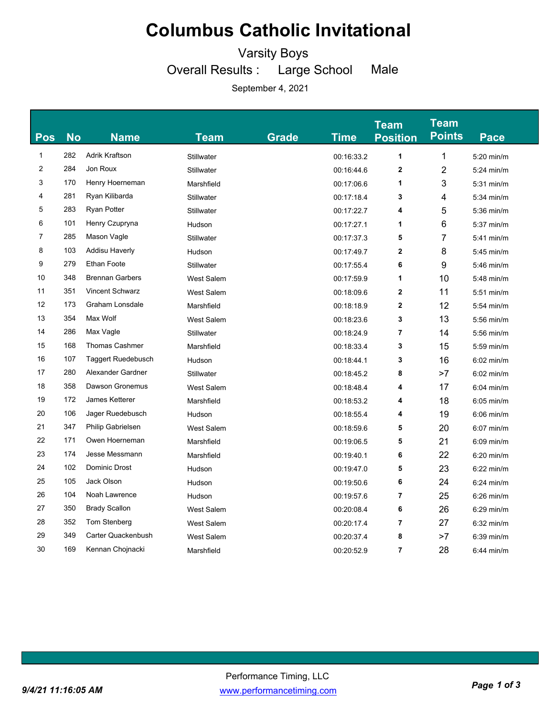Varsity Boys

Overall Results : Large School Male

| <b>Pos</b>     | <b>No</b> | <b>Name</b>               | Team              | <b>Grade</b> | <b>Time</b> | <b>Team</b><br><b>Position</b> | <b>Team</b><br><b>Points</b> | Pace         |
|----------------|-----------|---------------------------|-------------------|--------------|-------------|--------------------------------|------------------------------|--------------|
| 1              | 282       | Adrik Kraftson            | <b>Stillwater</b> |              | 00:16:33.2  | 1                              | 1                            | 5:20 min/m   |
| 2              | 284       | Jon Roux                  | <b>Stillwater</b> |              | 00:16:44.6  | $\overline{\mathbf{2}}$        | $\overline{2}$               | $5:24$ min/m |
| 3              | 170       | Henry Hoerneman           | Marshfield        |              | 00:17:06.6  | 1                              | 3                            | $5:31$ min/m |
| 4              | 281       | Ryan Kilibarda            | Stillwater        |              | 00:17:18.4  | 3                              | 4                            | 5:34 min/m   |
| 5              | 283       | <b>Ryan Potter</b>        | <b>Stillwater</b> |              | 00:17:22.7  | 4                              | 5                            | 5:36 min/m   |
| 6              | 101       | Henry Czupryna            | Hudson            |              | 00:17:27.1  | 1                              | 6                            | $5:37$ min/m |
| $\overline{7}$ | 285       | Mason Vagle               |                   |              |             |                                | $\overline{7}$               |              |
| 8              | 103       | Addisu Haverly            | Stillwater        |              | 00:17:37.3  | 5                              |                              | $5:41$ min/m |
| 9              | 279       | <b>Ethan Foote</b>        | Hudson            |              | 00:17:49.7  | $\mathbf{2}$                   | 8                            | $5:45$ min/m |
|                |           |                           | <b>Stillwater</b> |              | 00:17:55.4  | 6                              | 9                            | 5:46 min/m   |
| 10             | 348       | <b>Brennan Garbers</b>    | <b>West Salem</b> |              | 00:17:59.9  | 1                              | 10                           | 5:48 min/m   |
| 11             | 351       | <b>Vincent Schwarz</b>    | <b>West Salem</b> |              | 00:18:09.6  | 2                              | 11                           | $5:51$ min/m |
| 12             | 173       | Graham Lonsdale           | Marshfield        |              | 00:18:18.9  | $\mathbf 2$                    | 12                           | $5:54$ min/m |
| 13             | 354       | Max Wolf                  | <b>West Salem</b> |              | 00:18:23.6  | 3                              | 13                           | 5:56 min/m   |
| 14             | 286       | Max Vagle                 | Stillwater        |              | 00:18:24.9  | 7                              | 14                           | 5:56 min/m   |
| 15             | 168       | <b>Thomas Cashmer</b>     | Marshfield        |              | 00:18:33.4  | 3                              | 15                           | 5:59 min/m   |
| 16             | 107       | <b>Taggert Ruedebusch</b> | Hudson            |              | 00:18:44.1  | 3                              | 16                           | $6:02$ min/m |
| 17             | 280       | Alexander Gardner         | Stillwater        |              | 00:18:45.2  | 8                              | >7                           | $6:02$ min/m |
| 18             | 358       | Dawson Gronemus           | <b>West Salem</b> |              | 00:18:48.4  | 4                              | 17                           | $6:04$ min/m |
| 19             | 172       | James Ketterer            | Marshfield        |              | 00:18:53.2  | 4                              | 18                           | $6:05$ min/m |
| 20             | 106       | Jager Ruedebusch          | Hudson            |              | 00:18:55.4  | 4                              | 19                           | $6:06$ min/m |
| 21             | 347       | Philip Gabrielsen         | <b>West Salem</b> |              | 00:18:59.6  | 5                              | 20                           | $6:07$ min/m |
| 22             | 171       | Owen Hoerneman            | Marshfield        |              | 00:19:06.5  | 5                              | 21                           | $6:09$ min/m |
| 23             | 174       | Jesse Messmann            | Marshfield        |              | 00:19:40.1  | 6                              | 22                           | $6:20$ min/m |
| 24             | 102       | Dominic Drost             | Hudson            |              | 00:19:47.0  | 5                              | 23                           | $6:22$ min/m |
| 25             | 105       | Jack Olson                | Hudson            |              | 00:19:50.6  | 6                              | 24                           | $6:24$ min/m |
| 26             | 104       | Noah Lawrence             | Hudson            |              | 00:19:57.6  | 7                              | 25                           | $6:26$ min/m |
| 27             | 350       | <b>Brady Scallon</b>      | <b>West Salem</b> |              | 00:20:08.4  | 6                              | 26                           | $6:29$ min/m |
| 28             | 352       | Tom Stenberg              | <b>West Salem</b> |              | 00:20:17.4  | 7                              | 27                           | $6:32$ min/m |
| 29             | 349       | Carter Quackenbush        | <b>West Salem</b> |              | 00:20:37.4  | 8                              | >7                           | $6:39$ min/m |
| 30             | 169       | Kennan Chojnacki          | Marshfield        |              | 00:20:52.9  | $\overline{7}$                 | 28                           | $6:44$ min/m |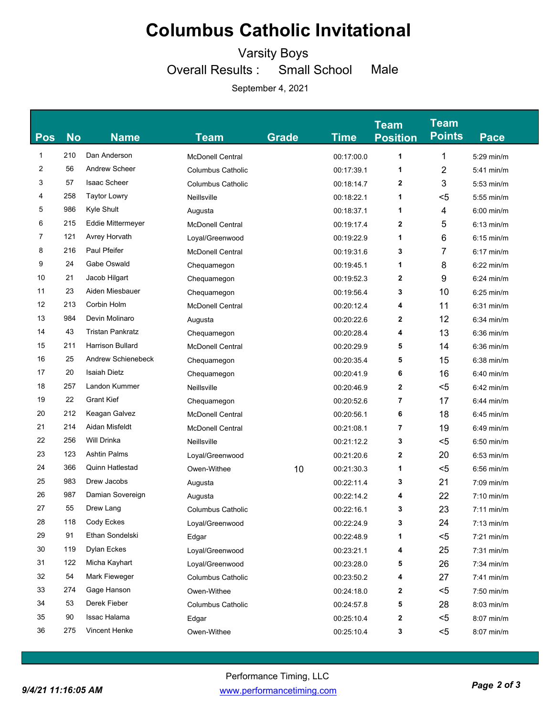Varsity Boys

Overall Results : Small School Male

| <b>Pos</b> | <b>No</b> | <b>Name</b>              | Team                     | Grade | <b>Time</b> | <b>Team</b><br><b>Position</b> | <b>Team</b><br><b>Points</b> | Pace         |
|------------|-----------|--------------------------|--------------------------|-------|-------------|--------------------------------|------------------------------|--------------|
| 1          | 210       | Dan Anderson             | McDonell Central         |       | 00:17:00.0  | 1                              | 1                            | $5:29$ min/m |
| 2          | 56        | <b>Andrew Scheer</b>     | <b>Columbus Catholic</b> |       | 00:17:39.1  | 1                              | $\overline{2}$               | $5:41$ min/m |
| 3          | 57        | <b>Isaac Scheer</b>      | <b>Columbus Catholic</b> |       | 00:18:14.7  | 2                              | 3                            | $5:53$ min/m |
| 4          | 258       | <b>Taytor Lowry</b>      | Neillsville              |       | 00:18:22.1  | 1                              | <5                           | $5:55$ min/m |
| 5          | 986       | Kyle Shult               | Augusta                  |       | 00:18:37.1  | 1                              | 4                            | $6:00$ min/m |
| 6          | 215       | <b>Eddie Mittermeyer</b> | <b>McDonell Central</b>  |       | 00:19:17.4  | 2                              | 5                            | $6:13$ min/m |
| 7          | 121       | Avrey Horvath            | Loyal/Greenwood          |       | 00:19:22.9  | 1                              | 6                            | $6:15$ min/m |
| 8          | 216       | Paul Pfeifer             | <b>McDonell Central</b>  |       | 00:19:31.6  | 3                              | 7                            | $6:17$ min/m |
| 9          | 24        | Gabe Oswald              | Chequamegon              |       | 00:19:45.1  | 1                              | 8                            | $6:22$ min/m |
| 10         | 21        | Jacob Hilgart            | Chequamegon              |       | 00:19:52.3  | 2                              | 9                            | $6:24$ min/m |
| 11         | 23        | Aiden Miesbauer          | Chequamegon              |       | 00:19:56.4  | 3                              | 10                           | $6:25$ min/m |
| 12         | 213       | Corbin Holm              | <b>McDonell Central</b>  |       | 00:20:12.4  | 4                              | 11                           | $6:31$ min/m |
| 13         | 984       | Devin Molinaro           | Augusta                  |       | 00:20:22.6  | 2                              | 12                           | $6:34$ min/m |
| 14         | 43        | <b>Tristan Pankratz</b>  | Chequamegon              |       | 00:20:28.4  | 4                              | 13                           | $6:36$ min/m |
| 15         | 211       | Harrison Bullard         | <b>McDonell Central</b>  |       | 00:20:29.9  | 5                              | 14                           | $6:36$ min/m |
| 16         | 25        | Andrew Schienebeck       | Chequamegon              |       | 00:20:35.4  | 5                              | 15                           | $6:38$ min/m |
| 17         | 20        | <b>Isaiah Dietz</b>      | Chequamegon              |       | 00:20:41.9  | 6                              | 16                           | $6:40$ min/m |
| 18         | 257       | Landon Kummer            | Neillsville              |       | 00:20:46.9  | 2                              | $5$                          | $6:42$ min/m |
| 19         | 22        | <b>Grant Kief</b>        | Chequamegon              |       | 00:20:52.6  | 7                              | 17                           | $6:44$ min/m |
| 20         | 212       | Keagan Galvez            | <b>McDonell Central</b>  |       | 00:20:56.1  | 6                              | 18                           | $6:45$ min/m |
| 21         | 214       | Aidan Misfeldt           | <b>McDonell Central</b>  |       | 00:21:08.1  | 7                              | 19                           | $6:49$ min/m |
| 22         | 256       | Will Drinka              | Neillsville              |       | 00:21:12.2  | 3                              | $5$                          | $6:50$ min/m |
| 23         | 123       | <b>Ashtin Palms</b>      | Loyal/Greenwood          |       | 00:21:20.6  | 2                              | 20                           | $6:53$ min/m |
| 24         | 366       | <b>Quinn Hatlestad</b>   | Owen-Withee              | 10    | 00:21:30.3  | 1                              | $5$                          | $6:56$ min/m |
| 25         | 983       | Drew Jacobs              | Augusta                  |       | 00:22:11.4  | 3                              | 21                           | $7:09$ min/m |
| 26         | 987       | Damian Sovereign         | Augusta                  |       | 00:22:14.2  | 4                              | 22                           | $7:10$ min/m |
| 27         | 55        | Drew Lang                | <b>Columbus Catholic</b> |       | 00:22:16.1  | 3                              | 23                           | $7:11$ min/m |
| 28         | 118       | Cody Eckes               | Loyal/Greenwood          |       | 00:22:24.9  | 3                              | 24                           | $7:13$ min/m |
| 29         | 91        | Ethan Sondelski          | Edgar                    |       | 00:22:48.9  | 1                              | $5$                          | 7:21 min/m   |
| 30         | 119       | Dylan Eckes              | Loyal/Greenwood          |       | 00:23:21.1  | 4                              | 25                           | $7:31$ min/m |
| 31         | 122       | Micha Kayhart            | Loyal/Greenwood          |       | 00:23:28.0  | 5                              | 26                           | 7:34 min/m   |
| 32         | 54        | Mark Fieweger            | <b>Columbus Catholic</b> |       | 00:23:50.2  | 4                              | 27                           | $7:41$ min/m |
| 33         | 274       | Gage Hanson              | Owen-Withee              |       | 00:24:18.0  | 2                              | $5$                          | $7:50$ min/m |
| 34         | 53        | Derek Fieber             | <b>Columbus Catholic</b> |       | 00:24:57.8  | 5                              | 28                           | 8:03 min/m   |
| 35         | 90        | Issac Halama             | Edgar                    |       | 00:25:10.4  | 2                              | $5$                          | 8:07 min/m   |
| 36         | 275       | Vincent Henke            | Owen-Withee              |       | 00:25:10.4  | 3                              | $5$                          | 8:07 min/m   |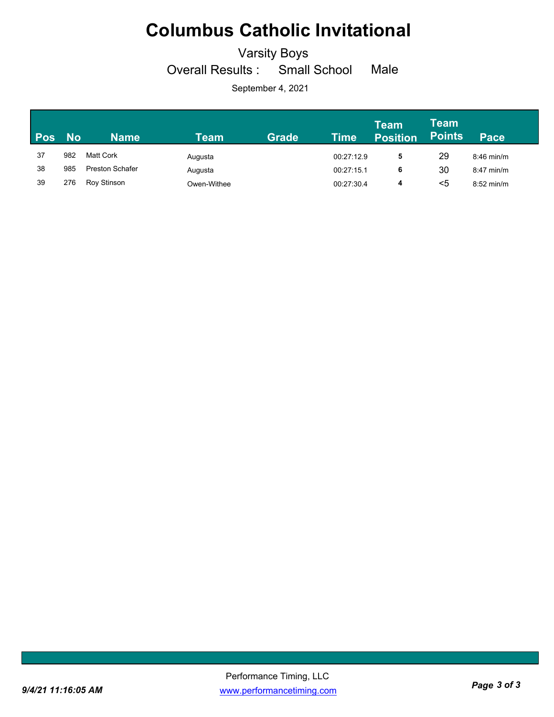Varsity Boys

Overall Results : Small School Male

| <b>Pos</b> | <b>No</b> | <b>Name</b>            | Team        | <b>Grade</b> | Time       | <b>Team</b><br><b>Position</b> | Team<br><b>Points</b> | Pace         |
|------------|-----------|------------------------|-------------|--------------|------------|--------------------------------|-----------------------|--------------|
| 37         | 982       | Matt Cork              | Augusta     |              | 00:27:12.9 | 5                              | 29                    | $8:46$ min/m |
| 38         | 985       | <b>Preston Schafer</b> | Augusta     |              | 00:27:15.1 | 6                              | 30                    | $8:47$ min/m |
| 39         | 276       | Roy Stinson            | Owen-Withee |              | 00:27:30.4 | 4                              | <5                    | $8:52$ min/m |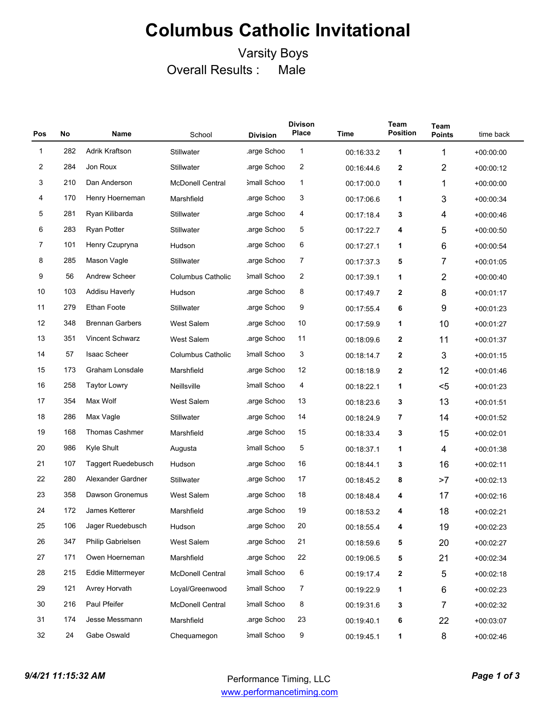### Varsity Boys Overall Results : Male

| Pos | No  | Name                   | School                   | <b>Division</b> | <b>Divison</b><br>Place | <b>Time</b> | Team<br><b>Position</b> | Team<br><b>Points</b>    | time back   |
|-----|-----|------------------------|--------------------------|-----------------|-------------------------|-------------|-------------------------|--------------------------|-------------|
| 1   | 282 | Adrik Kraftson         | Stillwater               | arge Schoo.     | 1                       | 00:16:33.2  | 1                       | 1                        | $+00:00:00$ |
| 2   | 284 | Jon Roux               | Stillwater               | arge Schoo      | $\overline{2}$          | 00:16:44.6  | 2                       | $\overline{2}$           | $+00.00:12$ |
| 3   | 210 | Dan Anderson           | <b>McDonell Central</b>  | Small Schoo     | 1                       | 00:17:00.0  | 1                       | 1                        | $+00.00:00$ |
| 4   | 170 | Henry Hoerneman        | Marshfield               | arge Schoo      | 3                       | 00:17:06.6  | 1                       | $\mathbf{3}$             | $+00:00:34$ |
| 5   | 281 | Ryan Kilibarda         | Stillwater               | arge Schoo      | 4                       | 00:17:18.4  | 3                       | 4                        | $+00.00.46$ |
| 6   | 283 | <b>Ryan Potter</b>     | <b>Stillwater</b>        | .arge Schoo     | 5                       | 00:17:22.7  | 4                       | 5                        | $+00.00:50$ |
| 7   | 101 | Henry Czupryna         | Hudson                   | arge Schoo      | 6                       | 00:17:27.1  | 1                       | 6                        | $+00.00.54$ |
| 8   | 285 | Mason Vagle            | Stillwater               | .arge Schoo     | 7                       | 00:17:37.3  | 5                       | $\overline{7}$           | $+00.01.05$ |
| 9   | 56  | <b>Andrew Scheer</b>   | <b>Columbus Catholic</b> | 3mall Schoo     | 2                       | 00:17:39.1  | 1                       | $\overline{2}$           | $+00.00.40$ |
| 10  | 103 | <b>Addisu Haverly</b>  | Hudson                   | arge Schoo      | 8                       | 00:17:49.7  | 2                       | 8                        | $+00.01:17$ |
| 11  | 279 | <b>Ethan Foote</b>     | Stillwater               | arge Schoo      | 9                       | 00:17:55.4  | 6                       | 9                        | $+00.01.23$ |
| 12  | 348 | <b>Brennan Garbers</b> | <b>West Salem</b>        | arge Schoo      | 10                      | 00:17:59.9  | 1                       | 10                       | $+00:01:27$ |
| 13  | 351 | <b>Vincent Schwarz</b> | <b>West Salem</b>        | arge Schoo      | 11                      | 00:18:09.6  | 2                       | 11                       | $+00.01.37$ |
| 14  | 57  | <b>Isaac Scheer</b>    | <b>Columbus Catholic</b> | Small Schoo     | 3                       | 00:18:14.7  | 2                       | 3                        | $+00.01.15$ |
| 15  | 173 | Graham Lonsdale        | Marshfield               | .arge Schoo     | 12                      | 00:18:18.9  | 2                       | 12                       | $+00.01.46$ |
| 16  | 258 | <b>Taytor Lowry</b>    | Neillsville              | 3mall Schoo     | 4                       | 00:18:22.1  | 1                       | $5$                      | $+00.01.23$ |
| 17  | 354 | Max Wolf               | <b>West Salem</b>        | .arge Schoo     | 13                      | 00:18:23.6  | 3                       | 13                       | $+00:01:51$ |
| 18  | 286 | Max Vagle              | Stillwater               | arge Schoo      | 14                      | 00:18:24.9  | 7                       | 14                       | $+00.01.52$ |
| 19  | 168 | <b>Thomas Cashmer</b>  | Marshfield               | arge Schoo      | 15                      | 00:18:33.4  | 3                       | 15                       | $+00:02:01$ |
| 20  | 986 | Kyle Shult             | Augusta                  | Small Schoo     | 5                       | 00:18:37.1  | 1                       | $\overline{\mathcal{A}}$ | $+00.01.38$ |
| 21  | 107 | Taggert Ruedebusch     | Hudson                   | arge Schoo      | 16                      | 00:18:44.1  | 3                       | 16                       | $+00:02:11$ |
| 22  | 280 | Alexander Gardner      | <b>Stillwater</b>        | .arge Schoo     | 17                      | 00:18:45.2  | 8                       | >7                       | $+00:02:13$ |
| 23  | 358 | <b>Dawson Gronemus</b> | <b>West Salem</b>        | arge Schoo      | 18                      | 00:18:48.4  | 4                       | 17                       | $+00.02:16$ |
| 24  | 172 | <b>James Ketterer</b>  | Marshfield               | arge Schoo      | 19                      | 00:18:53.2  | 4                       | 18                       | $+00:02:21$ |
| 25  | 106 | Jager Ruedebusch       | Hudson                   | arge Schoo      | 20                      | 00:18:55.4  | 4                       | 19                       | $+00:02:23$ |
| 26  | 347 | Philip Gabrielsen      | West Salem               | arge Schoo      | 21                      | 00:18:59.6  | 5                       | 20                       | $+00:02:27$ |
| 27  | 171 | Owen Hoerneman         | Marshfield               | .arge Schoo     | 22                      | 00:19:06.5  | 5                       | 21                       | $+00:02:34$ |
| 28  | 215 | Eddie Mittermeyer      | <b>McDonell Central</b>  | 3mall Schoo     | 6                       | 00:19:17.4  | 2                       | $\,$ 5 $\,$              | $+00:02:18$ |
| 29  | 121 | Avrey Horvath          | Loyal/Greenwood          | Small Schoo     | 7                       | 00:19:22.9  | 1                       | $\,6$                    | $+00:02:23$ |
| 30  | 216 | Paul Pfeifer           | <b>McDonell Central</b>  | Small Schoo     | 8                       | 00:19:31.6  | 3                       | $\overline{7}$           | $+00:02:32$ |
| 31  | 174 | Jesse Messmann         | Marshfield               | arge Schoo      | 23                      | 00:19:40.1  | 6                       | 22                       | $+00:03:07$ |
| 32  | 24  | Gabe Oswald            | Chequamegon              | 3mall Schoo     | 9                       | 00:19:45.1  | 1                       | 8                        | $+00:02:46$ |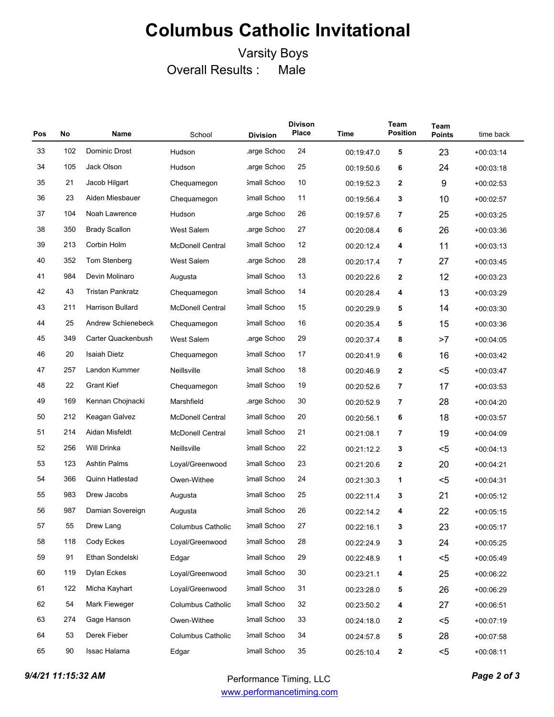### Varsity Boys Overall Results : Male

| Pos | No  | Name                    | School                   | <b>Division</b>    | <b>Divison</b><br>Place | <b>Time</b> | Team<br><b>Position</b> | Team<br><b>Points</b> | time back   |
|-----|-----|-------------------------|--------------------------|--------------------|-------------------------|-------------|-------------------------|-----------------------|-------------|
| 33  | 102 | Dominic Drost           | Hudson                   | arge Schoo         | 24                      | 00:19:47.0  | 5                       | 23                    | $+00:03:14$ |
| 34  | 105 | Jack Olson              | Hudson                   | arge Schoo         | 25                      | 00:19:50.6  | 6                       | 24                    | $+00.03:18$ |
| 35  | 21  | Jacob Hilgart           | Chequamegon              | 3mall Schoo        | 10                      | 00:19:52.3  | $\mathbf{2}$            | 9                     | $+00.02:53$ |
| 36  | 23  | Aiden Miesbauer         | Chequamegon              | 3mall Schoo        | 11                      | 00:19:56.4  | 3                       | 10                    | $+00.02.57$ |
| 37  | 104 | Noah Lawrence           | Hudson                   | .arge Schoo        | 26                      | 00:19:57.6  | 7                       | 25                    | $+00.03:25$ |
| 38  | 350 | <b>Brady Scallon</b>    | <b>West Salem</b>        | arge Schoo         | 27                      | 00:20:08.4  | 6                       | 26                    | $+00.03.36$ |
| 39  | 213 | Corbin Holm             | <b>McDonell Central</b>  | <b>Small Schoo</b> | 12                      | 00:20:12.4  | 4                       | 11                    | $+00.03:13$ |
| 40  | 352 | Tom Stenberg            | <b>West Salem</b>        | arge Schoo         | 28                      | 00:20:17.4  | 7                       | 27                    | $+00.03.45$ |
| 41  | 984 | Devin Molinaro          | Augusta                  | 3mall Schoo        | 13                      | 00:20:22.6  | 2                       | 12                    | $+00.03:23$ |
| 42  | 43  | <b>Tristan Pankratz</b> | Chequamegon              | 3mall Schoo        | 14                      | 00:20:28.4  | 4                       | 13                    | $+00.03:29$ |
| 43  | 211 | Harrison Bullard        | <b>McDonell Central</b>  | 3mall Schoo        | 15                      | 00:20:29.9  | 5                       | 14                    | $+00.03:30$ |
| 44  | 25  | Andrew Schienebeck      | Chequamegon              | 3mall Schoo        | 16                      | 00:20:35.4  | 5                       | 15                    | $+00:03:36$ |
| 45  | 349 | Carter Quackenbush      | <b>West Salem</b>        | .arge Schoo        | 29                      | 00:20:37.4  | 8                       | >7                    | $+00.04.05$ |
| 46  | 20  | <b>Isaiah Dietz</b>     | Chequamegon              | 3mall Schoo        | 17                      | 00:20:41.9  | 6                       | 16                    | $+00.03.42$ |
| 47  | 257 | Landon Kummer           | Neillsville              | 3mall Schoo        | 18                      | 00:20:46.9  | 2                       | $5$                   | $+00.03.47$ |
| 48  | 22  | <b>Grant Kief</b>       | Chequamegon              | 3mall Schoo        | 19                      | 00:20:52.6  | 7                       | 17                    | $+00.03.53$ |
| 49  | 169 | Kennan Chojnacki        | Marshfield               | .arge Schoo        | 30                      | 00:20:52.9  | 7                       | 28                    | $+00.04:20$ |
| 50  | 212 | Keagan Galvez           | <b>McDonell Central</b>  | 3mall Schoo        | 20                      | 00:20:56.1  | 6                       | 18                    | $+00.03.57$ |
| 51  | 214 | Aidan Misfeldt          | <b>McDonell Central</b>  | 3mall Schoo        | 21                      | 00:21:08.1  | 7                       | 19                    | $+00.04.09$ |
| 52  | 256 | Will Drinka             | Neillsville              | 3mall Schoo        | 22                      | 00:21:12.2  | 3                       | $5$                   | $+00.04.13$ |
| 53  | 123 | <b>Ashtin Palms</b>     | Loyal/Greenwood          | 3mall Schoo        | 23                      | 00:21:20.6  | $\mathbf{2}$            | 20                    | $+00.04.21$ |
| 54  | 366 | <b>Quinn Hatlestad</b>  | Owen-Withee              | 3mall Schoo        | 24                      | 00:21:30.3  | 1                       | $5$                   | $+00.04.31$ |
| 55  | 983 | Drew Jacobs             | Augusta                  | <b>Small Schoo</b> | 25                      | 00:22:11.4  | 3                       | 21                    | $+00:05:12$ |
| 56  | 987 | Damian Sovereign        | Augusta                  | 3mall Schoo        | 26                      | 00:22:14.2  | 4                       | 22                    | $+00.05:15$ |
| 57  | 55  | Drew Lang               | Columbus Catholic        | Small Schoo        | 27                      | 00:22:16.1  | 3                       | 23                    | $+00:05:17$ |
| 58  | 118 | Cody Eckes              | Loyal/Greenwood          | 3mall Schoo        | 28                      | 00:22:24.9  | 3                       | 24                    | $+00:05:25$ |
| 59  | 91  | Ethan Sondelski         | Edgar                    | 3mall Schoo        | 29                      | 00:22:48.9  | 1                       | $5$                   | $+00:05:49$ |
| 60  | 119 | Dylan Eckes             | Loyal/Greenwood          | 3mall Schoo        | 30                      | 00:23:21.1  | 4                       | 25                    | $+00:06:22$ |
| 61  | 122 | Micha Kayhart           | Loyal/Greenwood          | 3mall Schoo        | 31                      | 00:23:28.0  | 5                       | 26                    | $+00:06:29$ |
| 62  | 54  | Mark Fieweger           | Columbus Catholic        | 3mall Schoo        | 32                      | 00:23:50.2  | 4                       | 27                    | $+00:06:51$ |
| 63  | 274 | Gage Hanson             | Owen-Withee              | 3mall Schoo        | 33                      | 00:24:18.0  | 2                       | $5$                   | $+00:07:19$ |
| 64  | 53  | Derek Fieber            | <b>Columbus Catholic</b> | 3mall Schoo        | 34                      | 00:24:57.8  | 5                       | 28                    | $+00:07:58$ |
| 65  | 90  | Issac Halama            | Edgar                    | 3mall Schoo        | 35                      | 00:25:10.4  | 2                       | $5$                   | $+00:08:11$ |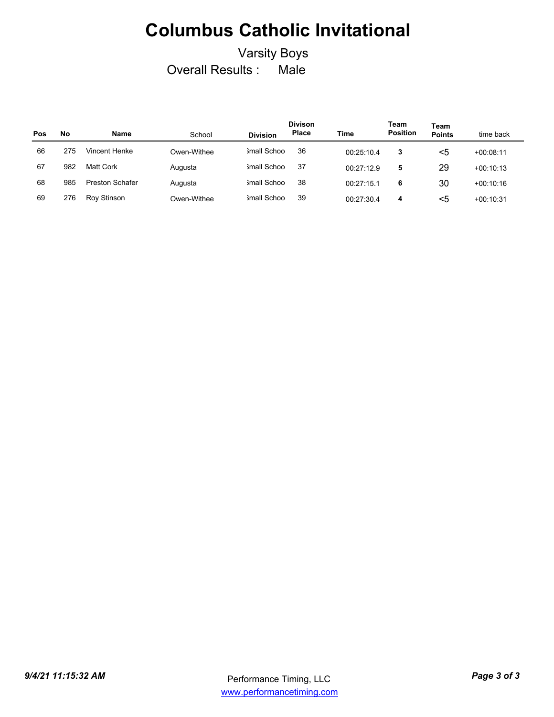### Varsity Boys Overall Results : Male

| Pos | No  | Name                   | School      | <b>Division</b> | <b>Divison</b><br>Place | Time       | Team<br><b>Position</b> | Team<br><b>Points</b> | time back   |
|-----|-----|------------------------|-------------|-----------------|-------------------------|------------|-------------------------|-----------------------|-------------|
| 66  | 275 | Vincent Henke          | Owen-Withee | 3mall Schoo     | 36                      | 00:25:10.4 | 3                       | <5                    | $+00:08:11$ |
| 67  | 982 | Matt Cork              | Augusta     | Small Schoo     | 37                      | 00:27:12.9 | 5                       | 29                    | $+00:10:13$ |
| 68  | 985 | <b>Preston Schafer</b> | Augusta     | Small Schoo     | 38                      | 00:27:15.1 | 6                       | 30                    | $+00.10.16$ |
| 69  | 276 | Roy Stinson            | Owen-Withee | 3mall Schoo     | 39                      | 00:27:30.4 | 4                       | <5                    | $+00:10:31$ |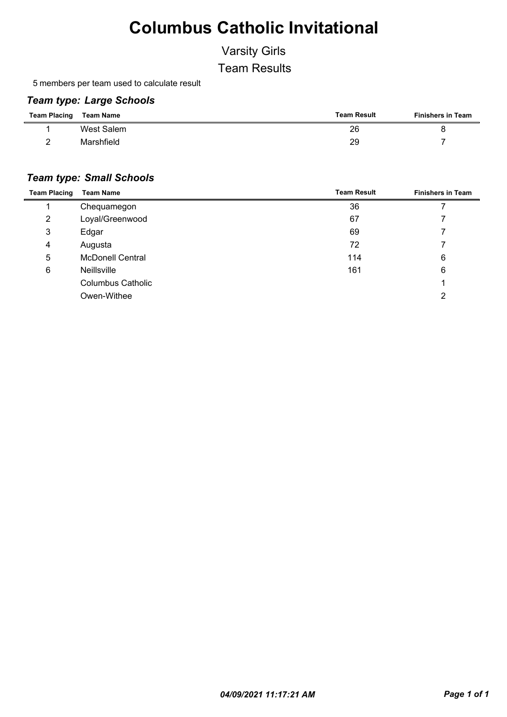## Varsity Girls

Team Results

5 members per team used to calculate result

#### *Team type: Large Schools*

| <b>Team Placing</b> | Team Name  | <b>Team Result</b> | <b>Finishers in Team</b> |
|---------------------|------------|--------------------|--------------------------|
|                     | West Salem | 26                 |                          |
|                     | Marshfield | 29                 |                          |

#### *Team type: Small Schools*

| <b>Team Placing</b> | <b>Team Name</b>         | <b>Team Result</b> | <b>Finishers in Team</b> |
|---------------------|--------------------------|--------------------|--------------------------|
|                     | Chequamegon              | 36                 |                          |
| 2                   | Loyal/Greenwood          | 67                 |                          |
| 3                   | Edgar                    | 69                 |                          |
| 4                   | Augusta                  | 72                 |                          |
| 5                   | <b>McDonell Central</b>  | 114                | 6                        |
| 6                   | <b>Neillsville</b>       | 161                | 6                        |
|                     | <b>Columbus Catholic</b> |                    |                          |
|                     | Owen-Withee              |                    | ◠                        |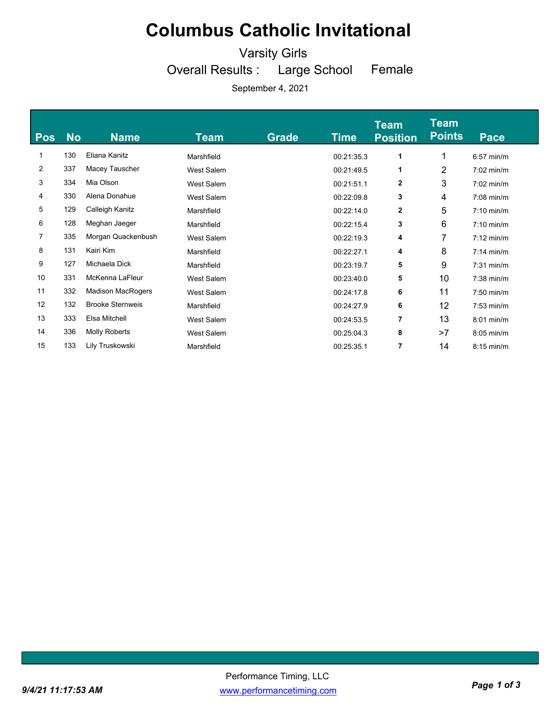Varsity Girls

Overall Results : Large School

Female

| <b>No</b> | <b>Name</b>              | Team              | <b>Grade</b> | Time       | <b>Team</b><br><b>Position</b> | <b>Team</b><br><b>Points</b> | Pace         |
|-----------|--------------------------|-------------------|--------------|------------|--------------------------------|------------------------------|--------------|
| 130       | Eliana Kanitz            | Marshfield        |              | 00:21:35.3 | 1                              | 1                            | $6:57$ min/m |
| 337       | Macey Tauscher           | West Salem        |              | 00:21:49.5 | 1                              | 2                            | $7:02$ min/m |
| 334       | Mia Olson                | West Salem        |              | 00:21:51.1 | 2                              | 3                            | $7:02$ min/m |
| 330       | Alena Donahue            | West Salem        |              | 00:22:09.8 | 3                              | 4                            | $7:08$ min/m |
| 129       | Calleigh Kanitz          | Marshfield        |              | 00:22:14.0 | 2                              | 5                            | $7:10$ min/m |
| 128       | Meghan Jaeger            | Marshfield        |              | 00:22:15.4 | 3                              | 6                            | $7:10$ min/m |
| 335       | Morgan Quackenbush       | <b>West Salem</b> |              | 00:22:19.3 | 4                              | 7                            | $7:12$ min/m |
| 131       | Kairi Kim                | Marshfield        |              | 00:22:27.1 | 4                              | 8                            | $7:14$ min/m |
| 127       | Michaela Dick            | Marshfield        |              | 00:23:19.7 | 5                              | 9                            | $7:31$ min/m |
| 331       | McKenna LaFleur          | West Salem        |              | 00:23:40.0 | 5                              | 10                           | $7:38$ min/m |
| 332       | <b>Madison MacRogers</b> | West Salem        |              | 00:24:17.8 | 6                              | 11                           | $7:50$ min/m |
| 132       | <b>Brooke Sternweis</b>  | Marshfield        |              | 00:24:27.9 | 6                              | 12                           | $7:53$ min/m |
| 333       | Elsa Mitchell            | West Salem        |              | 00:24:53.5 | 7                              | 13                           | $8:01$ min/m |
| 336       | Molly Roberts            | West Salem        |              | 00:25:04.3 | 8                              | >7                           | 8:05 min/m   |
| 133       | Lily Truskowski          | Marshfield        |              | 00:25:35.1 | 7                              | 14                           | $8:15$ min/m |
|           |                          |                   |              |            |                                |                              |              |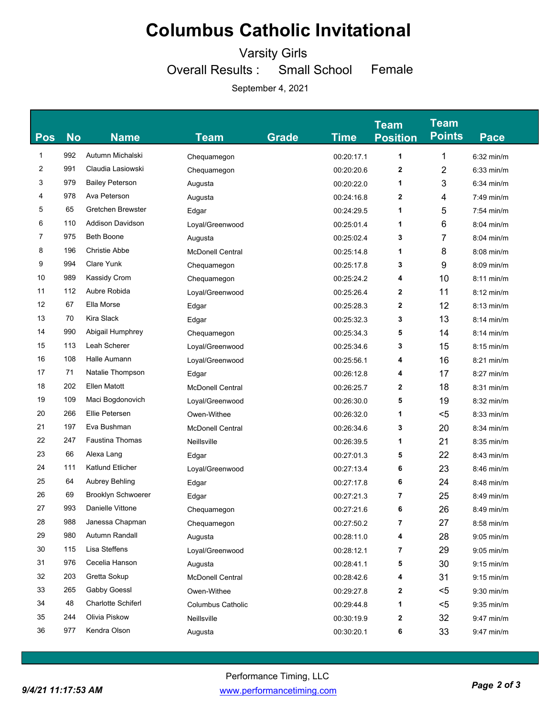Varsity Girls

Overall Results : Small School Female

| <b>Pos</b> | <b>No</b> | <b>Name</b>               | Team                     | <b>Grade</b> | <b>Time</b> | <b>Team</b><br><b>Position</b> | <b>Team</b><br><b>Points</b> | <b>Pace</b>  |
|------------|-----------|---------------------------|--------------------------|--------------|-------------|--------------------------------|------------------------------|--------------|
| 1          | 992       | Autumn Michalski          | Chequamegon              |              | 00:20:17.1  | 1                              | 1                            | $6:32$ min/m |
| 2          | 991       | Claudia Lasiowski         | Chequamegon              |              | 00:20:20.6  | $\mathbf{2}$                   | 2                            | $6:33$ min/m |
| 3          | 979       | <b>Bailey Peterson</b>    | Augusta                  |              | 00:20:22.0  | 1                              | 3                            | $6:34$ min/m |
| 4          | 978       | Ava Peterson              | Augusta                  |              | 00:24:16.8  | 2                              | 4                            | $7:49$ min/m |
| 5          | 65        | Gretchen Brewster         | Edgar                    |              | 00:24:29.5  | 1                              | 5                            | $7:54$ min/m |
| 6          | 110       | <b>Addison Davidson</b>   | Loyal/Greenwood          |              | 00:25:01.4  | 1                              | 6                            | $8:04$ min/m |
| 7          | 975       | <b>Beth Boone</b>         | Augusta                  |              | 00:25:02.4  | 3                              | 7                            | $8:04$ min/m |
| 8          | 196       | <b>Christie Abbe</b>      | <b>McDonell Central</b>  |              | 00:25:14.8  | 1                              | 8                            | $8:08$ min/m |
| 9          | 994       | Clare Yunk                | Chequamegon              |              | 00:25:17.8  | 3                              | 9                            | 8:09 min/m   |
| 10         | 989       | <b>Kassidy Crom</b>       | Chequamegon              |              | 00:25:24.2  | 4                              | 10                           | $8:11$ min/m |
| 11         | 112       | Aubre Robida              | Loyal/Greenwood          |              | 00:25:26.4  | 2                              | 11                           | $8:12$ min/m |
| 12         | 67        | Ella Morse                | Edgar                    |              | 00:25:28.3  | 2                              | 12                           | $8:13$ min/m |
| 13         | 70        | Kira Slack                | Edgar                    |              | 00:25:32.3  | 3                              | 13                           | $8:14$ min/m |
| 14         | 990       | Abigail Humphrey          | Chequamegon              |              | 00:25:34.3  | 5                              | 14                           | $8:14$ min/m |
| 15         | 113       | Leah Scherer              | Loyal/Greenwood          |              | 00:25:34.6  | 3                              | 15                           | $8:15$ min/m |
| 16         | 108       | Halle Aumann              | Loyal/Greenwood          |              | 00:25:56.1  | 4                              | 16                           | $8:21$ min/m |
| 17         | 71        | Natalie Thompson          | Edgar                    |              | 00:26:12.8  | 4                              | 17                           | 8:27 min/m   |
| 18         | 202       | <b>Ellen Matott</b>       | <b>McDonell Central</b>  |              | 00:26:25.7  | $\mathbf{2}$                   | 18                           | 8:31 min/m   |
| 19         | 109       | Maci Bogdonovich          | Loyal/Greenwood          |              | 00:26:30.0  | 5                              | 19                           | 8:32 min/m   |
| 20         | 266       | Ellie Petersen            | Owen-Withee              |              | 00:26:32.0  | 1                              | $5$                          | $8:33$ min/m |
| 21         | 197       | Eva Bushman               | <b>McDonell Central</b>  |              | 00:26:34.6  | 3                              | 20                           | 8:34 min/m   |
| 22         | 247       | <b>Faustina Thomas</b>    | Neillsville              |              | 00:26:39.5  | 1                              | 21                           | 8:35 min/m   |
| 23         | 66        | Alexa Lang                | Edgar                    |              | 00:27:01.3  | 5                              | 22                           | $8:43$ min/m |
| 24         | 111       | Katlund Etlicher          | Loyal/Greenwood          |              | 00:27:13.4  | 6                              | 23                           | $8:46$ min/m |
| 25         | 64        | Aubrey Behling            | Edgar                    |              | 00:27:17.8  | 6                              | 24                           | 8:48 min/m   |
| 26         | 69        | <b>Brooklyn Schwoerer</b> | Edgar                    |              | 00:27:21.3  | 7                              | 25                           | $8:49$ min/m |
| 27         | 993       | Danielle Vittone          | Chequamegon              |              | 00:27:21.6  | 6                              | 26                           | $8:49$ min/m |
| 28         | 988       | Janessa Chapman           | Chequamegon              |              | 00:27:50.2  | 7                              | 27                           | 8:58 min/m   |
| 29         | 980       | Autumn Randall            | Augusta                  |              | 00:28:11.0  | 4                              | 28                           | $9:05$ min/m |
| 30         | 115       | Lisa Steffens             | Loyal/Greenwood          |              | 00:28:12.1  | 7                              | 29                           | $9:05$ min/m |
| 31         | 976       | Cecelia Hanson            | Augusta                  |              | 00:28:41.1  | 5                              | 30                           | $9:15$ min/m |
| 32         | 203       | Gretta Sokup              | <b>McDonell Central</b>  |              | 00:28:42.6  | 4                              | 31                           | $9:15$ min/m |
| 33         | 265       | Gabby Goessl              | Owen-Withee              |              | 00:29:27.8  | 2                              | <5                           | $9:30$ min/m |
| 34         | 48        | <b>Charlotte Schiferl</b> | <b>Columbus Catholic</b> |              | 00:29:44.8  | 1                              | <5                           | $9:35$ min/m |
| 35         | 244       | Olivia Piskow             | Neillsville              |              | 00:30:19.9  | 2                              | 32                           | 9:47 min/m   |
| 36         | 977       | Kendra Olson              | Augusta                  |              | 00:30:20.1  | 6                              | 33                           | 9:47 min/m   |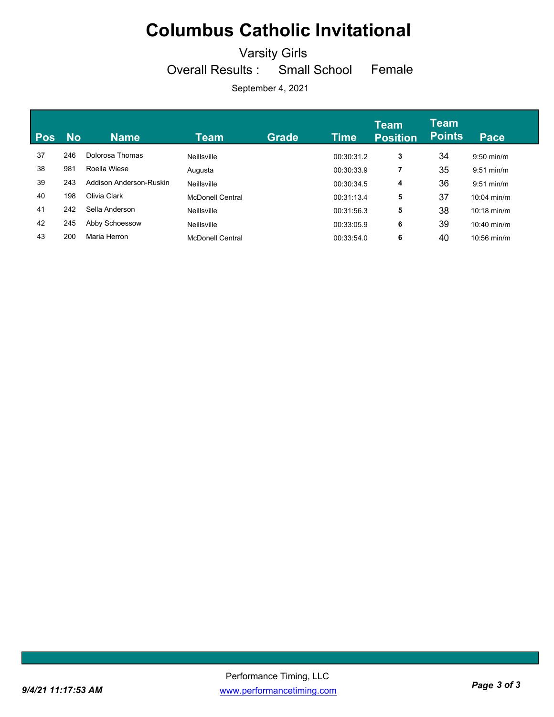Varsity Girls

Overall Results : Small School

Female

| <b>Pos</b> | <b>No</b> | <b>Name</b>             | Team                    | <b>Grade</b> | Time       | <b>Team</b><br><b>Position</b> | <b>Team</b><br><b>Points</b> | <b>Pace</b>           |
|------------|-----------|-------------------------|-------------------------|--------------|------------|--------------------------------|------------------------------|-----------------------|
| 37         | 246       | Dolorosa Thomas         | Neillsville             |              | 00:30:31.2 | 3                              | 34                           | $9:50$ min/m          |
| 38         | 981       | Roella Wiese            | Augusta                 |              | 00:30:33.9 | 7                              | 35                           | $9:51$ min/m          |
| 39         | 243       | Addison Anderson-Ruskin | Neillsville             |              | 00:30:34.5 | 4                              | 36                           | $9:51$ min/m          |
| 40         | 198       | Olivia Clark            | <b>McDonell Central</b> |              | 00:31:13.4 | 5                              | 37                           | $10:04$ min/m         |
| 41         | 242       | Sella Anderson          | Neillsville             |              | 00:31:56.3 | 5                              | 38                           | $10:18 \text{ min/m}$ |
| 42         | 245       | Abby Schoessow          | Neillsville             |              | 00:33:05.9 | 6                              | 39                           | $10:40$ min/m         |
| 43         | 200       | Maria Herron            | <b>McDonell Central</b> |              | 00:33:54.0 | 6                              | 40                           | $10:56$ min/m         |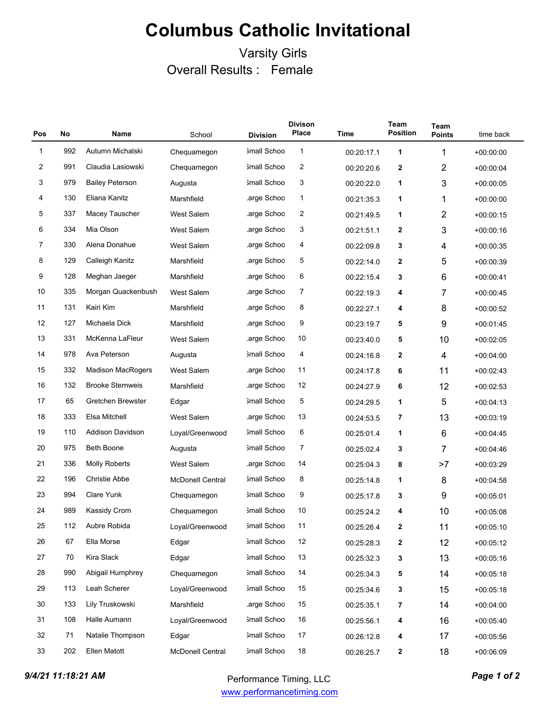### Varsity Girls Overall Results : Female

| Pos | <b>No</b> | <b>Name</b>              | School                  | <b>Division</b> | <b>Divison</b><br><b>Place</b> | <b>Time</b> | Team<br><b>Position</b> | Team<br><b>Points</b> | time back   |
|-----|-----------|--------------------------|-------------------------|-----------------|--------------------------------|-------------|-------------------------|-----------------------|-------------|
| 1   | 992       | Autumn Michalski         | Chequamegon             | 3mall Schoo     | 1                              | 00:20:17.1  | 1                       | 1                     | $+00:00:00$ |
| 2   | 991       | Claudia Lasiowski        | Chequamegon             | Small Schoo     | $\overline{c}$                 | 00:20:20.6  | 2                       | 2                     | $+00.00.04$ |
| 3   | 979       | <b>Bailey Peterson</b>   | Augusta                 | 3mall Schoo     | 3                              | 00:20:22.0  | 1                       | 3                     | $+00.00.05$ |
| 4   | 130       | Eliana Kanitz            | Marshfield              | arge Schoo      | $\mathbf{1}$                   | 00:21:35.3  | 1                       | 1                     | $+00:00:00$ |
| 5   | 337       | Macey Tauscher           | <b>West Salem</b>       | arge Schoo      | 2                              | 00:21:49.5  | 1                       | $\overline{2}$        | $+00.00:15$ |
| 6   | 334       | Mia Olson                | <b>West Salem</b>       | arge Schoo      | 3                              | 00:21:51.1  | 2                       | 3                     | $+00.00.16$ |
| 7   | 330       | Alena Donahue            | West Salem              | arge Schoo      | 4                              | 00:22:09.8  | 3                       | 4                     | $+00.00.35$ |
| 8   | 129       | Calleigh Kanitz          | Marshfield              | arge Schoo      | 5                              | 00:22:14.0  | 2                       | 5                     | $+00.00.39$ |
| 9   | 128       | Meghan Jaeger            | Marshfield              | .arge Schoo     | 6                              | 00:22:15.4  | 3                       | 6                     | $+00.00.41$ |
| 10  | 335       | Morgan Quackenbush       | <b>West Salem</b>       | arge Schoo      | 7                              | 00:22:19.3  | 4                       | 7                     | $+00.00.45$ |
| 11  | 131       | Kairi Kim                | Marshfield              | arge Schoo      | 8                              | 00:22:27.1  | 4                       | 8                     | $+00.00.52$ |
| 12  | 127       | Michaela Dick            | Marshfield              | arge Schoo      | 9                              | 00:23:19.7  | 5                       | 9                     | $+00:01:45$ |
| 13  | 331       | McKenna LaFleur          | <b>West Salem</b>       | .arge Schoo     | 10                             | 00:23:40.0  | 5                       | 10                    | $+00.02.05$ |
| 14  | 978       | Ava Peterson             | Augusta                 | Small Schoo     | 4                              | 00:24:16.8  | 2                       | 4                     | $+00.04.00$ |
| 15  | 332       | <b>Madison MacRogers</b> | <b>West Salem</b>       | arge Schoo      | 11                             | 00:24:17.8  | 6                       | 11                    | $+00.02.43$ |
| 16  | 132       | <b>Brooke Sternweis</b>  | Marshfield              | arge Schoo      | 12                             | 00:24:27.9  | 6                       | 12                    | $+00:02:53$ |
| 17  | 65        | Gretchen Brewster        | Edgar                   | 3mall Schoo     | 5                              | 00:24:29.5  | 1                       | 5                     | $+00.04.13$ |
| 18  | 333       | Elsa Mitchell            | <b>West Salem</b>       | arge Schoo      | 13                             | 00:24:53.5  | 7                       | 13                    | $+00.03:19$ |
| 19  | 110       | <b>Addison Davidson</b>  | Loyal/Greenwood         | 3mall Schoo     | 6                              | 00:25:01.4  | 1                       | 6                     | $+00.04.45$ |
| 20  | 975       | <b>Beth Boone</b>        | Augusta                 | Small Schoo     | $\overline{7}$                 | 00:25:02.4  | 3                       | 7                     | $+00.04.46$ |
| 21  | 336       | <b>Molly Roberts</b>     | West Salem              | arge Schoo      | 14                             | 00:25:04.3  | 8                       | >7                    | $+00.03:29$ |
| 22  | 196       | <b>Christie Abbe</b>     | <b>McDonell Central</b> | Small Schoo     | 8                              | 00:25:14.8  | 1                       | 8                     | $+00.04.58$ |
| 23  | 994       | Clare Yunk               | Chequamegon             | 3mall Schoo     | 9                              | 00:25:17.8  | 3                       | 9                     | $+00.05.01$ |
| 24  | 989       | Kassidy Crom             | Chequamegon             | 3mall Schoo     | 10                             | 00:25:24.2  | 4                       | 10                    | $+00.05.08$ |
| 25  | 112       | Aubre Robida             | Loyal/Greenwood         | Small Schoo     | 11                             | 00:25:26.4  | 2                       | 11                    | $+00:05:10$ |
| 26  | 67        | Ella Morse               | Edgar                   | 3mall Schoo     | 12                             | 00:25:28.3  | 2                       | 12                    | $+00:05:12$ |
| 27  | 70        | Kira Slack               | Edgar                   | 3mall Schoo     | 13                             | 00:25:32.3  | 3                       | 13                    | $+00:05:16$ |
| 28  | 990       | Abigail Humphrey         | Chequamegon             | 3mall Schoo     | 14                             | 00:25:34.3  | 5                       | 14                    | $+00:05:18$ |
| 29  | 113       | Leah Scherer             | Loyal/Greenwood         | 3mall Schoo     | 15                             | 00:25:34.6  | 3                       | 15                    | $+00:05:18$ |
| 30  | 133       | Lily Truskowski          | Marshfield              | .arge Schoo     | 15                             | 00:25:35.1  | 7                       | 14                    | $+00.04:00$ |
| 31  | 108       | Halle Aumann             | Loyal/Greenwood         | 3mall Schoo     | 16                             | 00:25:56.1  | 4                       | 16                    | $+00:05:40$ |
| 32  | 71        | Natalie Thompson         | Edgar                   | Small Schoo     | 17                             | 00:26:12.8  | 4                       | 17                    | $+00:05:56$ |
| 33  | 202       | Ellen Matott             | McDonell Central        | 3mall Schoo     | 18                             | 00:26:25.7  | 2                       | 18                    | $+00:06:09$ |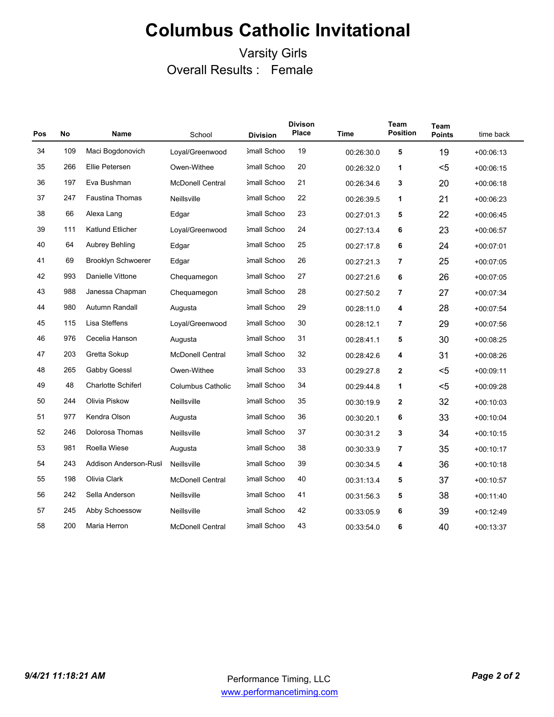### Varsity Girls Overall Results : Female

| Pos | No  | Name                      | School                   | <b>Division</b>    | <b>Divison</b><br><b>Place</b> | <b>Time</b> | Team<br><b>Position</b> | Team<br><b>Points</b> | time back   |
|-----|-----|---------------------------|--------------------------|--------------------|--------------------------------|-------------|-------------------------|-----------------------|-------------|
| 34  | 109 | Maci Bogdonovich          | Loyal/Greenwood          | Small Schoo        | 19                             | 00:26:30.0  | 5                       | 19                    | $+00:06:13$ |
| 35  | 266 | Ellie Petersen            | Owen-Withee              | <b>Small Schoo</b> | 20                             | 00:26:32.0  | 1                       | $5$                   | $+00.06.15$ |
| 36  | 197 | Eva Bushman               | <b>McDonell Central</b>  | <b>Small Schoo</b> | 21                             | 00:26:34.6  | 3                       | 20                    | $+00:06:18$ |
| 37  | 247 | <b>Faustina Thomas</b>    | Neillsville              | <b>Small Schoo</b> | 22                             | 00:26:39.5  | 1                       | 21                    | $+00:06:23$ |
| 38  | 66  | Alexa Lang                | Edgar                    | 3mall Schoo        | 23                             | 00:27:01.3  | 5                       | 22                    | $+00:06:45$ |
| 39  | 111 | Katlund Etlicher          | Loyal/Greenwood          | 3mall Schoo        | 24                             | 00:27:13.4  | 6                       | 23                    | $+00.06.57$ |
| 40  | 64  | Aubrey Behling            | Edgar                    | Small Schoo        | 25                             | 00:27:17.8  | 6                       | 24                    | $+00:07:01$ |
| 41  | 69  | <b>Brooklyn Schwoerer</b> | Edgar                    | Small Schoo        | 26                             | 00:27:21.3  | 7                       | 25                    | $+00.07:05$ |
| 42  | 993 | Danielle Vittone          | Chequamegon              | <b>Small Schoo</b> | 27                             | 00:27:21.6  | 6                       | 26                    | $+00.07:05$ |
| 43  | 988 | Janessa Chapman           | Chequamegon              | 3mall Schoo        | 28                             | 00:27:50.2  | 7                       | 27                    | $+00:07:34$ |
| 44  | 980 | Autumn Randall            | Augusta                  | 3mall Schoo        | 29                             | 00:28:11.0  | 4                       | 28                    | $+00:07:54$ |
| 45  | 115 | Lisa Steffens             | Loyal/Greenwood          | 3mall Schoo        | 30                             | 00:28:12.1  | 7                       | 29                    | $+00:07:56$ |
| 46  | 976 | Cecelia Hanson            | Augusta                  | 3mall Schoo        | 31                             | 00:28:41.1  | 5                       | 30                    | $+00.08:25$ |
| 47  | 203 | Gretta Sokup              | <b>McDonell Central</b>  | Small Schoo        | 32                             | 00:28:42.6  | 4                       | 31                    | $+00.08.26$ |
| 48  | 265 | Gabby Goessl              | Owen-Withee              | Small Schoo        | 33                             | 00:29:27.8  | 2                       | $5$                   | $+00:09:11$ |
| 49  | 48  | <b>Charlotte Schiferl</b> | <b>Columbus Catholic</b> | 3mall Schoo        | 34                             | 00:29:44.8  | 1                       | $5$                   | $+00.09.28$ |
| 50  | 244 | Olivia Piskow             | Neillsville              | <b>Small Schoo</b> | 35                             | 00:30:19.9  | 2                       | 32                    | $+00:10:03$ |
| 51  | 977 | Kendra Olson              | Augusta                  | 3mall Schoo        | 36                             | 00:30:20.1  | 6                       | 33                    | $+00:10:04$ |
| 52  | 246 | Dolorosa Thomas           | Neillsville              | 3mall Schoo        | 37                             | 00:30:31.2  | 3                       | 34                    | $+00:10:15$ |
| 53  | 981 | Roella Wiese              | Augusta                  | 3mall Schoo        | 38                             | 00:30:33.9  | 7                       | 35                    | $+00:10:17$ |
| 54  | 243 | Addison Anderson-Rusl     | Neillsville              | 3mall Schoo        | 39                             | 00:30:34.5  | 4                       | 36                    | $+00.10.18$ |
| 55  | 198 | Olivia Clark              | <b>McDonell Central</b>  | Small Schoo        | 40                             | 00:31:13.4  | 5                       | 37                    | $+00:10:57$ |
| 56  | 242 | Sella Anderson            | Neillsville              | Small Schoo        | 41                             | 00:31:56.3  | 5                       | 38                    | $+00.11.40$ |
| 57  | 245 | Abby Schoessow            | Neillsville              | <b>Small Schoo</b> | 42                             | 00:33:05.9  | 6                       | 39                    | $+00.12.49$ |
| 58  | 200 | Maria Herron              | <b>McDonell Central</b>  | <b>Small Schoo</b> | 43                             | 00:33:54.0  | 6                       | 40                    | $+00:13:37$ |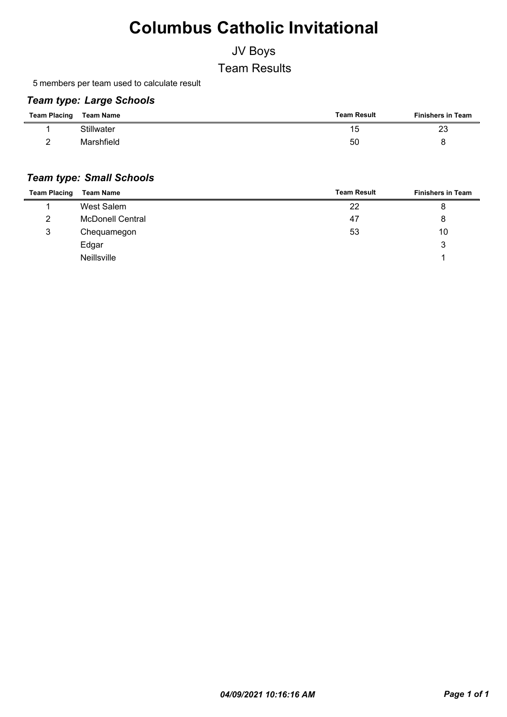### JV Boys

Team Results

5 members per team used to calculate result

#### *Team type: Large Schools*

| <b>Team Placing</b> | Team Name         | <b>Team Result</b> | <b>Finishers in Team</b> |
|---------------------|-------------------|--------------------|--------------------------|
|                     | <b>Stillwater</b> | 15                 | 23                       |
|                     | Marshfield        | 50                 |                          |

#### *Team type: Small Schools*

| <b>Team Placing</b> | <b>Team Name</b>        | <b>Team Result</b> | <b>Finishers in Team</b> |
|---------------------|-------------------------|--------------------|--------------------------|
|                     | West Salem              | 22                 | 8                        |
| 2                   | <b>McDonell Central</b> | 47                 | 8                        |
| 3                   | Chequamegon             | 53                 | 10                       |
|                     | Edgar                   |                    | 3                        |
|                     | <b>Neillsville</b>      |                    |                          |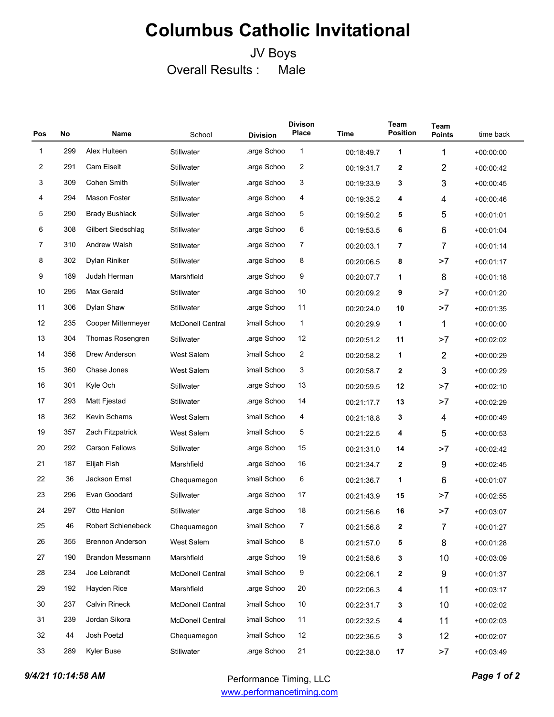### JV Boys Overall Results : Male

| Pos          | <b>No</b> | Name                    | School                  | <b>Division</b> | <b>Divison</b><br><b>Place</b> | <b>Time</b> | <b>Team</b><br><b>Position</b> | Team<br><b>Points</b> | time back   |
|--------------|-----------|-------------------------|-------------------------|-----------------|--------------------------------|-------------|--------------------------------|-----------------------|-------------|
| $\mathbf{1}$ | 299       | Alex Hulteen            | Stillwater              | arge Schoo.     | $\mathbf{1}$                   | 00:18:49.7  | 1                              | 1                     | $+00:00:00$ |
| 2            | 291       | <b>Cam Eiselt</b>       | Stillwater              | .arge Schoo     | 2                              | 00:19:31.7  | 2                              | $\overline{2}$        | $+00.00.42$ |
| 3            | 309       | Cohen Smith             | Stillwater              | arge Schoo      | 3                              | 00:19:33.9  | 3                              | 3                     | $+00:00:45$ |
| 4            | 294       | Mason Foster            | Stillwater              | arge Schoo      | 4                              | 00:19:35.2  | 4                              | 4                     | $+00.00.46$ |
| 5            | 290       | <b>Brady Bushlack</b>   | Stillwater              | arge Schoo      | 5                              | 00:19:50.2  | 5                              | 5                     | $+00:01:01$ |
| 6            | 308       | Gilbert Siedschlag      | Stillwater              | .arge Schoo     | 6                              | 00:19:53.5  | 6                              | $\,6$                 | $+00:01:04$ |
| 7            | 310       | <b>Andrew Walsh</b>     | Stillwater              | arge Schoo      | 7                              | 00:20:03.1  | 7                              | $\overline{7}$        | $+00.01.14$ |
| 8            | 302       | Dylan Riniker           | Stillwater              | arge Schoo.     | 8                              | 00:20:06.5  | 8                              | >7                    | $+00.01.17$ |
| 9            | 189       | Judah Herman            | Marshfield              | arge Schoo      | 9                              | 00:20:07.7  | 1                              | 8                     | $+00.01.18$ |
| 10           | 295       | Max Gerald              | Stillwater              | arge Schoo.     | 10                             | 00:20:09.2  | 9                              | >7                    | $+00.01.20$ |
| 11           | 306       | Dylan Shaw              | Stillwater              | .arge Schoo     | 11                             | 00:20:24.0  | 10                             | >7                    | $+00.01.35$ |
| 12           | 235       | Cooper Mittermeyer      | <b>McDonell Central</b> | 3mall Schoo     | $\mathbf{1}$                   | 00:20:29.9  | 1                              | 1                     | $+00.00.00$ |
| 13           | 304       | Thomas Rosengren        | Stillwater              | .arge Schoo     | 12                             | 00:20:51.2  | 11                             | >7                    | $+00.02:02$ |
| 14           | 356       | Drew Anderson           | <b>West Salem</b>       | 3mall Schoo     | 2                              | 00:20:58.2  | 1                              | $\overline{2}$        | $+00.00:29$ |
| 15           | 360       | Chase Jones             | <b>West Salem</b>       | 3mall Schoo     | 3                              | 00:20:58.7  | 2                              | 3                     | $+00.00:29$ |
| 16           | 301       | Kyle Och                | Stillwater              | arge Schoo      | 13                             | 00:20:59.5  | 12                             | >7                    | $+00.02:10$ |
| 17           | 293       | Matt Fjestad            | Stillwater              | .arge Schoo     | 14                             | 00:21:17.7  | 13                             | >7                    | $+00.02:29$ |
| 18           | 362       | Kevin Schams            | <b>West Salem</b>       | 3mall Schoo     | 4                              | 00:21:18.8  | 3                              | 4                     | $+00.00.49$ |
| 19           | 357       | Zach Fitzpatrick        | West Salem              | 3mall Schoo     | 5                              | 00:21:22.5  | 4                              | 5                     | $+00.00.53$ |
| 20           | 292       | <b>Carson Fellows</b>   | Stillwater              | arge Schoo      | 15                             | 00:21:31.0  | 14                             | >7                    | $+00.02.42$ |
| 21           | 187       | Elijah Fish             | Marshfield              | .arge Schoo     | 16                             | 00:21:34.7  | 2                              | 9                     | $+00:02:45$ |
| 22           | 36        | Jackson Ernst           | Chequamegon             | 3mall Schoo     | 6                              | 00:21:36.7  | 1                              | $\,6$                 | $+00.01.07$ |
| 23           | 296       | Evan Goodard            | Stillwater              | arge Schoo      | 17                             | 00:21:43.9  | 15                             | >7                    | $+00:02:55$ |
| 24           | 297       | Otto Hanlon             | Stillwater              | arge Schoo      | 18                             | 00:21:56.6  | 16                             | >7                    | $+00:03:07$ |
| 25           | 46        | Robert Schienebeck      | Chequamegon             | 3mall Schoo     | 7                              | 00:21:56.8  | 2                              | $\overline{7}$        | $+00:01:27$ |
| 26           | 355       | <b>Brennon Anderson</b> | West Salem              | 3mall Schoo     | 8                              | 00:21:57.0  | 5                              | 8                     | $+00:01:28$ |
| 27           | 190       | <b>Brandon Messmann</b> | Marshfield              | .arge Schoo     | 19                             | 00:21:58.6  | 3                              | 10                    | $+00:03:09$ |
| 28           | 234       | Joe Leibrandt           | <b>McDonell Central</b> | 3mall Schoo     | 9                              | 00:22:06.1  | 2                              | 9                     | $+00:01:37$ |
| 29           | 192       | Hayden Rice             | Marshfield              | arge Schoo      | 20                             | 00:22:06.3  | 4                              | 11                    | $+00:03:17$ |
| 30           | 237       | <b>Calvin Rineck</b>    | McDonell Central        | 3mall Schoo     | 10                             | 00:22:31.7  | 3                              | 10                    | $+00:02:02$ |
| 31           | 239       | Jordan Sikora           | <b>McDonell Central</b> | 3mall Schoo     | 11                             | 00:22:32.5  | 4                              | 11                    | $+00:02:03$ |
| 32           | 44        | Josh Poetzl             | Chequamegon             | 3mall Schoo     | 12                             | 00:22:36.5  | 3                              | 12                    | $+00:02:07$ |
| 33           | 289       | Kyler Buse              | Stillwater              | arge Schoo      | 21                             | 00:22:38.0  | 17                             | >7                    | $+00:03:49$ |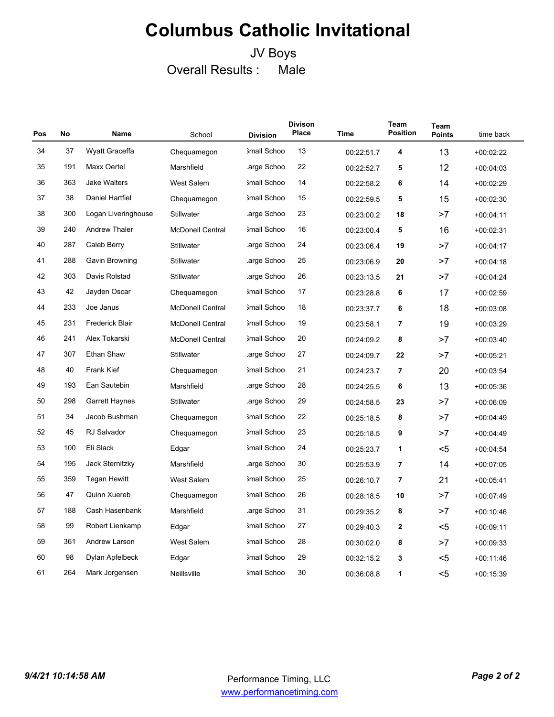### JV Boys Overall Results : Male

| Pos | No  | Name                   | School                  | <b>Division</b> | <b>Divison</b><br>Place | Time       | Team<br><b>Position</b> | Team<br><b>Points</b> | time back   |
|-----|-----|------------------------|-------------------------|-----------------|-------------------------|------------|-------------------------|-----------------------|-------------|
| 34  | 37  | Wyatt Graceffa         | Chequamegon             | 3mall Schoo     | 13                      | 00:22:51.7 | 4                       | 13                    | $+00.02:22$ |
| 35  | 191 | Maxx Oertel            | Marshfield              | arge Schoo      | 22                      | 00:22:52.7 | 5                       | 12                    | $+00:04:03$ |
| 36  | 363 | <b>Jake Walters</b>    | <b>West Salem</b>       | 3mall Schoo     | 14                      | 00:22:58.2 | 6                       | 14                    | $+00.02:29$ |
| 37  | 38  | Daniel Hartfiel        | Chequamegon             | 3mall Schoo     | 15                      | 00:22:59.5 | 5                       | 15                    | $+00:02:30$ |
| 38  | 300 | Logan Liveringhouse    | Stillwater              | arge Schoo      | 23                      | 00:23:00.2 | 18                      | >7                    | $+00:04:11$ |
| 39  | 240 | <b>Andrew Thaler</b>   | <b>McDonell Central</b> | 3mall Schoo     | 16                      | 00:23:00.4 | 5                       | 16                    | $+00:02:31$ |
| 40  | 287 | Caleb Berry            | Stillwater              | arge Schoo      | 24                      | 00:23:06.4 | 19                      | >7                    | $+00:04:17$ |
| 41  | 288 | Gavin Browning         | Stillwater              | arge Schoo      | 25                      | 00:23:06.9 | 20                      | >7                    | $+00:04:18$ |
| 42  | 303 | Davis Rolstad          | Stillwater              | arge Schoo      | 26                      | 00:23:13.5 | 21                      | >7                    | $+00.04.24$ |
| 43  | 42  | Jayden Oscar           | Chequamegon             | 3mall Schoo     | 17                      | 00:23:28.8 | 6                       | 17                    | $+00:02:59$ |
| 44  | 233 | Joe Janus              | <b>McDonell Central</b> | 3mall Schoo     | 18                      | 00:23:37.7 | 6                       | 18                    | $+00.03.08$ |
| 45  | 231 | <b>Frederick Blair</b> | <b>McDonell Central</b> | 3mall Schoo     | 19                      | 00:23:58.1 | 7                       | 19                    | $+00:03:29$ |
| 46  | 241 | Alex Tokarski          | <b>McDonell Central</b> | 3mall Schoo     | 20                      | 00:24:09.2 | 8                       | >7                    | $+00:03:40$ |
| 47  | 307 | <b>Ethan Shaw</b>      | Stillwater              | arge Schoo      | 27                      | 00:24:09.7 | 22                      | >7                    | $+00:05:21$ |
| 48  | 40  | <b>Frank Kief</b>      | Chequamegon             | 3mall Schoo     | 21                      | 00:24:23.7 | $\overline{7}$          | 20                    | $+00.03.54$ |
| 49  | 193 | Ean Sautebin           | Marshfield              | arge Schoo.     | 28                      | 00:24:25.5 | 6                       | 13                    | $+00:05:36$ |
| 50  | 298 | <b>Garrett Haynes</b>  | Stillwater              | arge Schoo      | 29                      | 00:24:58.5 | 23                      | >7                    | $+00.06.09$ |
| 51  | 34  | Jacob Bushman          | Chequamegon             | 3mall Schoo     | 22                      | 00:25:18.5 | 8                       | >7                    | $+00.04.49$ |
| 52  | 45  | <b>RJ Salvador</b>     | Chequamegon             | 3mall Schoo     | 23                      | 00:25:18.5 | 9                       | >7                    | $+00.04.49$ |
| 53  | 100 | Eli Slack              | Edgar                   | 3mall Schoo     | 24                      | 00:25:23.7 | 1                       | <5                    | $+00:04:54$ |
| 54  | 195 | Jack Sternitzky        | Marshfield              | arge Schoo      | 30                      | 00:25:53.9 | $\overline{\mathbf{r}}$ | 14                    | $+00:07:05$ |
| 55  | 359 | Tegan Hewitt           | <b>West Salem</b>       | 3mall Schoo     | 25                      | 00:26:10.7 | $\overline{\mathbf{r}}$ | 21                    | $+00:05:41$ |
| 56  | 47  | Quinn Xuereb           | Chequamegon             | 3mall Schoo     | 26                      | 00:28:18.5 | 10                      | >7                    | $+00.07:49$ |
| 57  | 188 | Cash Hasenbank         | Marshfield              | arge Schoo      | 31                      | 00:29:35.2 | 8                       | >7                    | $+00:10:46$ |
| 58  | 99  | Robert Lienkamp        | Edgar                   | 3mall Schoo     | 27                      | 00:29:40.3 | $\mathbf{2}$            | <5                    | $+00:09:11$ |
| 59  | 361 | Andrew Larson          | <b>West Salem</b>       | 3mall Schoo     | 28                      | 00:30:02.0 | 8                       | >7                    | $+00.09.33$ |
| 60  | 98  | Dylan Apfelbeck        | Edgar                   | 3mall Schoo     | 29                      | 00:32:15.2 | 3                       | <5                    | $+00:11:46$ |
| 61  | 264 | Mark Jorgensen         | Neillsville             | 3mall Schoo     | 30                      | 00:36:08.8 | 1                       | $5$                   | $+00:15:39$ |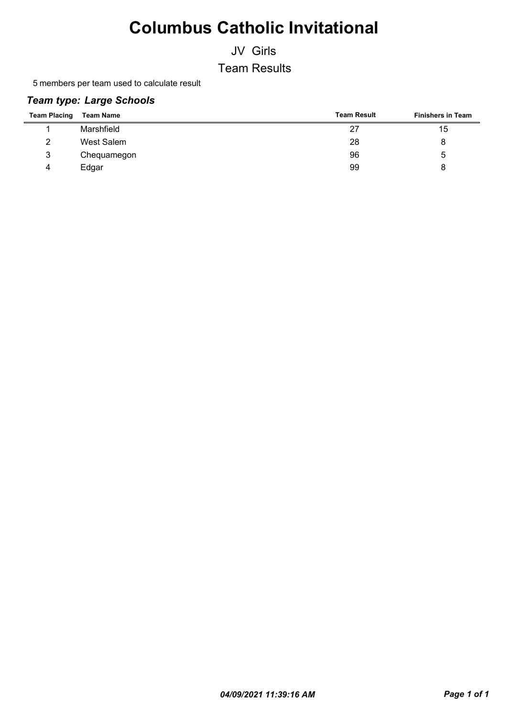JV Girls

Team Results

5 members per team used to calculate result

#### *Team type: Large Schools*

| <b>Team Placing</b> | <b>Team Name</b> | <b>Team Result</b> | <b>Finishers in Team</b> |
|---------------------|------------------|--------------------|--------------------------|
|                     | Marshfield       | 27                 | 15                       |
| 2                   | West Salem       | 28                 |                          |
| 3                   | Chequamegon      | 96                 | 5                        |
| 4                   | Edgar            | 99                 |                          |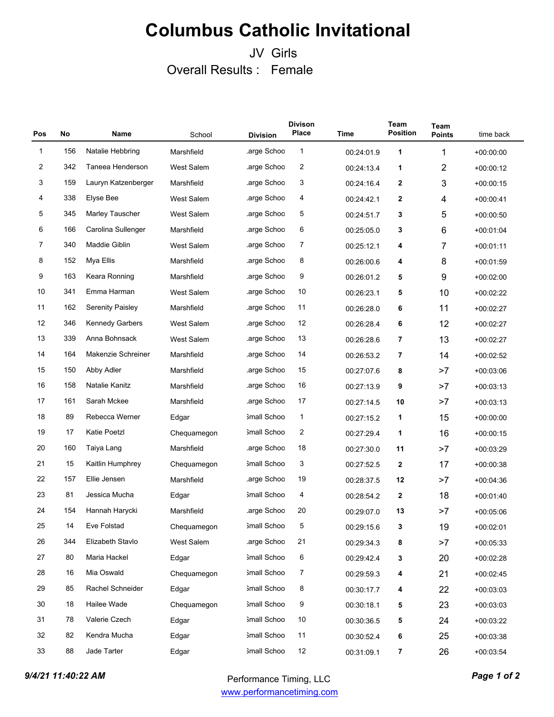### JV Girls Overall Results : Female

| Pos         | <b>No</b> | Name                    | School            | <b>Division</b> | <b>Divison</b><br><b>Place</b> | Time       | Team<br><b>Position</b> | Team<br><b>Points</b> | time back   |
|-------------|-----------|-------------------------|-------------------|-----------------|--------------------------------|------------|-------------------------|-----------------------|-------------|
| $\mathbf 1$ | 156       | Natalie Hebbring        | Marshfield        | arge Schoo.     | $\mathbf{1}$                   | 00:24:01.9 | 1                       | 1                     | $+00:00:00$ |
| 2           | 342       | Taneea Henderson        | West Salem        | .arge Schoo     | 2                              | 00:24:13.4 | 1                       | $\overline{2}$        | $+00.00.12$ |
| 3           | 159       | Lauryn Katzenberger     | Marshfield        | .arge Schoo     | 3                              | 00:24:16.4 | $\mathbf 2$             | 3                     | $+00.00:15$ |
| 4           | 338       | <b>Elyse Bee</b>        | <b>West Salem</b> | .arge Schoo     | 4                              | 00:24:42.1 | $\mathbf{2}$            | 4                     | $+00:00:41$ |
| 5           | 345       | Marley Tauscher         | <b>West Salem</b> | arge Schoo      | 5                              | 00:24:51.7 | 3                       | 5                     | $+00:00:50$ |
| 6           | 166       | Carolina Sullenger      | Marshfield        | .arge Schoo     | 6                              | 00:25:05.0 | 3                       | 6                     | $+00:01:04$ |
| 7           | 340       | Maddie Giblin           | <b>West Salem</b> | arge Schoo      | 7                              | 00:25:12.1 | 4                       | 7                     | $+00:01:11$ |
| 8           | 152       | Mya Ellis               | Marshfield        | .arge Schoo     | 8                              | 00:26:00.6 | 4                       | 8                     | $+00.01.59$ |
| 9           | 163       | Keara Ronning           | Marshfield        | arge Schoo      | 9                              | 00:26:01.2 | 5                       | 9                     | $+00.02.00$ |
| 10          | 341       | Emma Harman             | <b>West Salem</b> | .arge Schoo     | 10                             | 00:26:23.1 | 5                       | 10                    | $+00.02:22$ |
| 11          | 162       | <b>Serenity Paisley</b> | Marshfield        | arge Schoo      | 11                             | 00:26:28.0 | 6                       | 11                    | $+00.02:27$ |
| 12          | 346       | <b>Kennedy Garbers</b>  | West Salem        | arge Schoo      | 12                             | 00:26:28.4 | 6                       | 12                    | $+00:02:27$ |
| 13          | 339       | Anna Bohnsack           | <b>West Salem</b> | arge Schoo      | 13                             | 00:26:28.6 | 7                       | 13                    | $+00.02:27$ |
| 14          | 164       | Makenzie Schreiner      | Marshfield        | .arge Schoo     | 14                             | 00:26:53.2 | $\overline{7}$          | 14                    | $+00.02.52$ |
| 15          | 150       | Abby Adler              | Marshfield        | arge Schoo.     | 15                             | 00:27:07.6 | 8                       | >7                    | $+00.03.06$ |
| 16          | 158       | Natalie Kanitz          | Marshfield        | .arge Schoo     | 16                             | 00:27:13.9 | 9                       | >7                    | $+00.03.13$ |
| 17          | 161       | Sarah Mckee             | Marshfield        | arge Schoo.     | 17                             | 00:27:14.5 | 10                      | >7                    | $+00.03.13$ |
| 18          | 89        | Rebecca Werner          | Edgar             | 3mall Schoo     | 1                              | 00:27:15.2 | 1                       | 15                    | $+00.00.00$ |
| 19          | 17        | Katie Poetzl            | Chequamegon       | 3mall Schoo     | 2                              | 00:27:29.4 | 1                       | 16                    | $+00:00:15$ |
| 20          | 160       | Taiya Lang              | Marshfield        | arge Schoo      | 18                             | 00:27:30.0 | 11                      | >7                    | $+00.03:29$ |
| 21          | 15        | Kaitlin Humphrey        | Chequamegon       | 3mall Schoo     | 3                              | 00:27:52.5 | $\boldsymbol{2}$        | 17                    | $+00:00:38$ |
| 22          | 157       | Ellie Jensen            | Marshfield        | .arge Schoo     | 19                             | 00:28:37.5 | 12                      | >7                    | $+00.04.36$ |
| 23          | 81        | Jessica Mucha           | Edgar             | 3mall Schoo     | 4                              | 00:28:54.2 | $\mathbf{2}$            | 18                    | $+00.01.40$ |
| 24          | 154       | Hannah Harycki          | Marshfield        | .arge Schoo     | 20                             | 00:29:07.0 | 13                      | >7                    | $+00:05:06$ |
| 25          | 14        | Eve Folstad             | Chequamegon       | 3mall Schoo     | 5                              | 00:29:15.6 | 3                       | 19                    | $+00:02:01$ |
| 26          | 344       | Elizabeth Stavlo        | West Salem        | .arge Schoo     | 21                             | 00:29:34.3 | 8                       | >7                    | $+00:05:33$ |
| 27          | 80        | Maria Hackel            | Edgar             | 3mall Schoo     | 6                              | 00:29:42.4 | 3                       | 20                    | $+00:02:28$ |
| 28          | 16        | Mia Oswald              | Chequamegon       | 3mall Schoo     | 7                              | 00:29:59.3 | 4                       | 21                    | $+00:02:45$ |
| 29          | 85        | Rachel Schneider        | Edgar             | 3mall Schoo     | 8                              | 00:30:17.7 | 4                       | 22                    | $+00:03:03$ |
| 30          | 18        | Hailee Wade             | Chequamegon       | 3mall Schoo     | 9                              | 00:30:18.1 | 5                       | 23                    | $+00.03.03$ |
| 31          | 78        | Valerie Czech           | Edgar             | 3mall Schoo     | 10                             | 00:30:36.5 | 5                       | 24                    | $+00:03:22$ |
| 32          | 82        | Kendra Mucha            | Edgar             | 3mall Schoo     | 11                             | 00:30:52.4 | 6                       | 25                    | $+00.03.38$ |
| 33          | 88        | Jade Tarter             | Edgar             | Small Schoo     | 12                             | 00:31:09.1 | $\overline{7}$          | 26                    | $+00:03:54$ |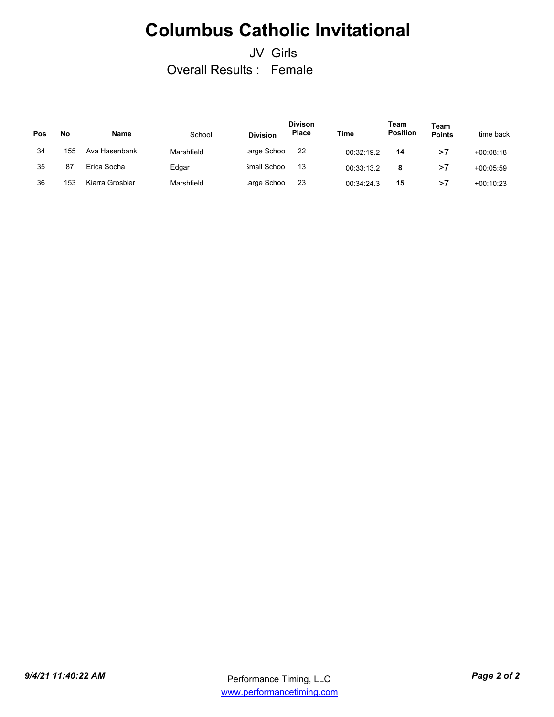### JV Girls Overall Results : Female

| Pos | No  | <b>Name</b>     | School     | <b>Division</b> | <b>Divison</b><br>Place | Time       | Team<br><b>Position</b> | Team<br><b>Points</b> | time back   |
|-----|-----|-----------------|------------|-----------------|-------------------------|------------|-------------------------|-----------------------|-------------|
| 34  | 155 | Ava Hasenbank   | Marshfield | arge Schoo      | 22                      | 00:32:19.2 | 14                      | >7                    | $+00.08.18$ |
| 35  | 87  | Erica Socha     | Edgar      | Small Schoo     | 13                      | 00:33:13.2 | 8                       | >7                    | $+00.05.59$ |
| 36  | 153 | Kiarra Grosbier | Marshfield | arge Schoo      | 23                      | 00:34:24.3 | 15                      | >7                    | $+00:10:23$ |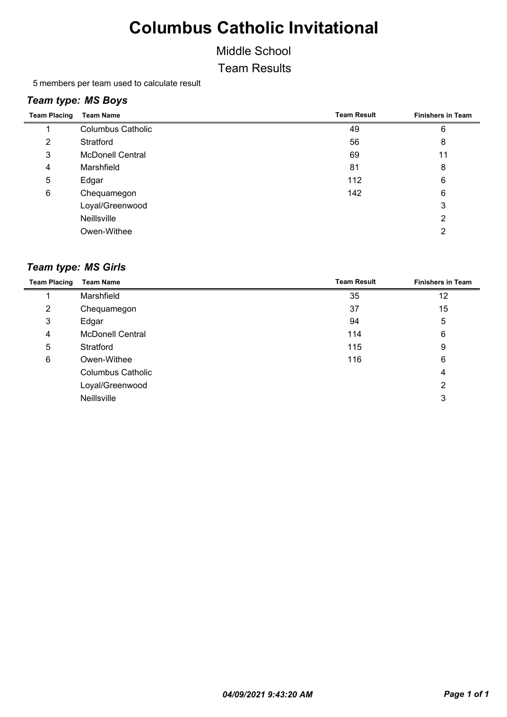#### Middle School

Team Results

5 members per team used to calculate result

#### *Team type: MS Boys*

| <b>Team Placing</b> | <b>Team Name</b>         | <b>Team Result</b> | <b>Finishers in Team</b> |
|---------------------|--------------------------|--------------------|--------------------------|
|                     | <b>Columbus Catholic</b> | 49                 | 6                        |
| 2                   | Stratford                | 56                 | 8                        |
| 3                   | <b>McDonell Central</b>  | 69                 | 11                       |
| 4                   | Marshfield               | 81                 | 8                        |
| 5                   | Edgar                    | 112                | 6                        |
| 6                   | Chequamegon              | 142                | 6                        |
|                     | Loyal/Greenwood          |                    | 3                        |
|                     | Neillsville              |                    | 2                        |
|                     | Owen-Withee              |                    | 2                        |

#### *Team type: MS Girls*

| <b>Team Placing</b> | <b>Team Name</b>         | <b>Team Result</b> | <b>Finishers in Team</b> |
|---------------------|--------------------------|--------------------|--------------------------|
|                     | Marshfield               | 35                 | 12                       |
| $\overline{2}$      | Chequamegon              | 37                 | 15                       |
| 3                   | Edgar                    | 94                 | 5                        |
| 4                   | <b>McDonell Central</b>  | 114                | 6                        |
| 5                   | Stratford                | 115                | 9                        |
| 6                   | Owen-Withee              | 116                | 6                        |
|                     | <b>Columbus Catholic</b> |                    | 4                        |
|                     | Loyal/Greenwood          |                    | 2                        |
|                     | Neillsville              |                    | 3                        |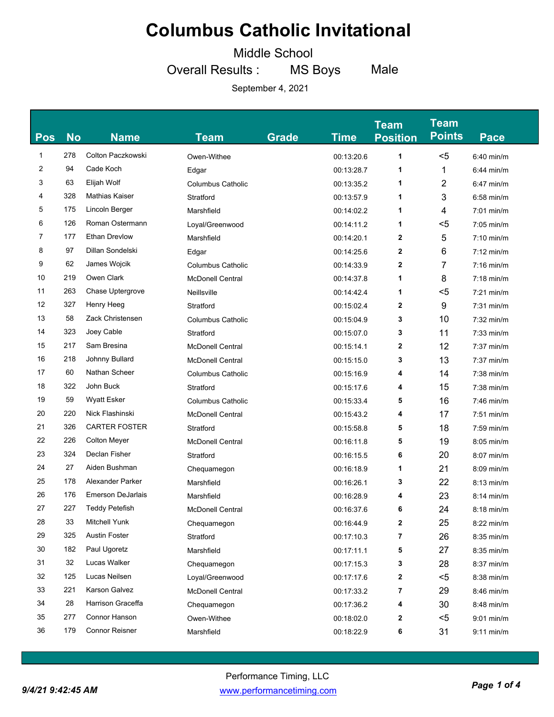Middle School

Overall Results : MS Boys Male

| <b>Pos</b> | <b>No</b> | <b>Name</b>              | Team                     | <b>Grade</b> | <b>Time</b> | <b>Team</b><br><b>Position</b> | <b>Team</b><br><b>Points</b> | <b>Pace</b>  |
|------------|-----------|--------------------------|--------------------------|--------------|-------------|--------------------------------|------------------------------|--------------|
| 1          | 278       | Colton Paczkowski        | Owen-Withee              |              | 00:13:20.6  | 1                              | $5$                          | $6:40$ min/m |
| 2          | 94        | Cade Koch                | Edgar                    |              | 00:13:28.7  | 1                              | 1                            | $6:44$ min/m |
| 3          | 63        | Elijah Wolf              | <b>Columbus Catholic</b> |              | 00:13:35.2  | 1                              | 2                            | $6:47$ min/m |
| 4          | 328       | Mathias Kaiser           | Stratford                |              | 00:13:57.9  | 1                              | 3                            | $6:58$ min/m |
| 5          | 175       | Lincoln Berger           | Marshfield               |              | 00:14:02.2  | 1                              | 4                            | $7:01$ min/m |
| 6          | 126       | Roman Ostermann          | Loyal/Greenwood          |              | 00:14:11.2  | 1                              | $5$                          | $7:05$ min/m |
| 7          | 177       | <b>Ethan Drevlow</b>     | Marshfield               |              | 00:14:20.1  | 2                              | 5                            | $7:10$ min/m |
| 8          | 97        | Dillan Sondelski         | Edgar                    |              | 00:14:25.6  | 2                              | 6                            | $7:12$ min/m |
| 9          | 62        | James Wojcik             | <b>Columbus Catholic</b> |              | 00:14:33.9  | 2                              | 7                            | $7:16$ min/m |
| 10         | 219       | Owen Clark               | <b>McDonell Central</b>  |              | 00:14:37.8  | 1                              | 8                            | $7:18$ min/m |
| 11         | 263       | Chase Uptergrove         | Neillsville              |              | 00:14:42.4  | 1                              | $5$                          | $7:21$ min/m |
| 12         | 327       | Henry Heeg               | Stratford                |              | 00:15:02.4  | 2                              | 9                            | $7:31$ min/m |
| 13         | 58        | Zack Christensen         | <b>Columbus Catholic</b> |              | 00:15:04.9  | 3                              | 10                           | $7:32$ min/m |
| 14         | 323       | Joey Cable               | Stratford                |              | 00:15:07.0  | 3                              | 11                           | $7:33$ min/m |
| 15         | 217       | Sam Bresina              | <b>McDonell Central</b>  |              | 00:15:14.1  | 2                              | 12                           | 7:37 min/m   |
| 16         | 218       | Johnny Bullard           | <b>McDonell Central</b>  |              | 00:15:15.0  | 3                              | 13                           | $7:37$ min/m |
| 17         | 60        | Nathan Scheer            | <b>Columbus Catholic</b> |              | 00:15:16.9  | 4                              | 14                           | $7:38$ min/m |
| 18         | 322       | John Buck                | Stratford                |              | 00:15:17.6  | 4                              | 15                           | $7:38$ min/m |
| 19         | 59        | <b>Wyatt Esker</b>       | <b>Columbus Catholic</b> |              | 00:15:33.4  | 5                              | 16                           | $7:46$ min/m |
| 20         | 220       | Nick Flashinski          | <b>McDonell Central</b>  |              | 00:15:43.2  | 4                              | 17                           | $7:51$ min/m |
| 21         | 326       | <b>CARTER FOSTER</b>     | Stratford                |              | 00:15:58.8  | 5                              | 18                           | $7:59$ min/m |
| 22         | 226       | <b>Colton Meyer</b>      | <b>McDonell Central</b>  |              | 00:16:11.8  | 5                              | 19                           | $8:05$ min/m |
| 23         | 324       | Declan Fisher            | Stratford                |              | 00:16:15.5  | 6                              | 20                           | 8:07 min/m   |
| 24         | 27        | Aiden Bushman            | Chequamegon              |              | 00:16:18.9  | 1                              | 21                           | 8:09 min/m   |
| 25         | 178       | Alexander Parker         | Marshfield               |              | 00:16:26.1  | 3                              | 22                           | $8:13$ min/m |
| 26         | 176       | <b>Emerson DeJarlais</b> | Marshfield               |              | 00:16:28.9  | 4                              | 23                           | $8:14$ min/m |
| 27         | 227       | <b>Teddy Petefish</b>    | <b>McDonell Central</b>  |              | 00:16:37.6  | 6                              | 24                           | $8:18$ min/m |
| 28         | 33        | Mitchell Yunk            | Chequamegon              |              | 00:16:44.9  | $\mathbf{2}$                   | 25                           | 8:22 min/m   |
| 29         | 325       | <b>Austin Foster</b>     | Stratford                |              | 00:17:10.3  | 7                              | 26                           | 8:35 min/m   |
| 30         | 182       | Paul Ugoretz             | Marshfield               |              | 00:17:11.1  | 5                              | 27                           | 8:35 min/m   |
| 31         | 32        | Lucas Walker             | Chequamegon              |              | 00:17:15.3  | 3                              | 28                           | 8:37 min/m   |
| 32         | 125       | Lucas Neilsen            | Loyal/Greenwood          |              | 00:17:17.6  | 2                              | $5$                          | $8:38$ min/m |
| 33         | 221       | Karson Galvez            | McDonell Central         |              | 00:17:33.2  | 7                              | 29                           | $8:46$ min/m |
| 34         | 28        | Harrison Graceffa        | Chequamegon              |              | 00:17:36.2  | 4                              | 30                           | 8:48 min/m   |
| 35         | 277       | Connor Hanson            | Owen-Withee              |              | 00:18:02.0  | 2                              | $5$                          | 9:01 min/m   |
| 36         | 179       | <b>Connor Reisner</b>    | Marshfield               |              | 00:18:22.9  | 6                              | 31                           | $9:11$ min/m |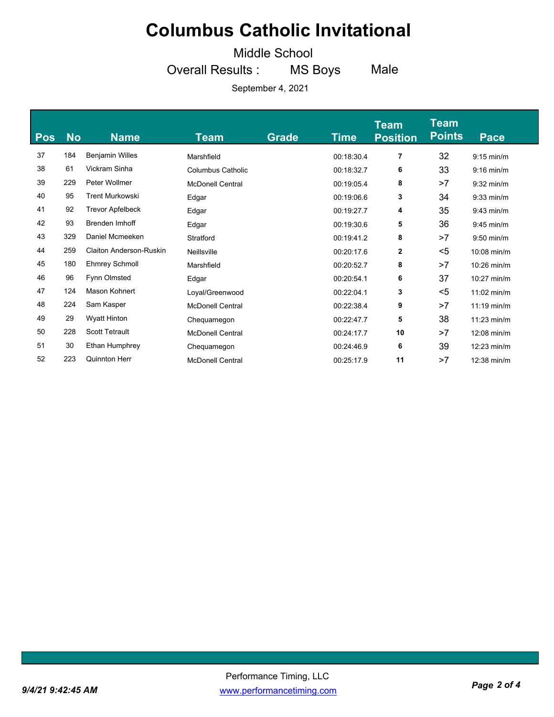Middle School

Overall Results : MS Boys Male

| Pos | <b>No</b> | <b>Name</b>             | <b>Team</b>             | <b>Grade</b> | Time       | <b>Team</b><br><b>Position</b> | <b>Team</b><br><b>Points</b> | <b>Pace</b>   |
|-----|-----------|-------------------------|-------------------------|--------------|------------|--------------------------------|------------------------------|---------------|
| 37  | 184       | <b>Benjamin Willes</b>  | Marshfield              |              | 00:18:30.4 | 7                              | 32                           | $9:15$ min/m  |
| 38  | 61        | Vickram Sinha           | Columbus Catholic       |              | 00:18:32.7 | 6                              | 33                           | $9:16$ min/m  |
| 39  | 229       | Peter Wollmer           | <b>McDonell Central</b> |              | 00:19:05.4 | 8                              | >7                           | $9:32$ min/m  |
| 40  | 95        | <b>Trent Murkowski</b>  | Edgar                   |              | 00:19:06.6 | 3                              | 34                           | $9:33$ min/m  |
| 41  | 92        | <b>Trevor Apfelbeck</b> | Edgar                   |              | 00:19:27.7 | 4                              | 35                           | $9:43$ min/m  |
| 42  | 93        | <b>Brenden Imhoff</b>   | Edgar                   |              | 00:19:30.6 | 5                              | 36                           | $9:45$ min/m  |
| 43  | 329       | Daniel Mcmeeken         | Stratford               |              | 00:19:41.2 | 8                              | >7                           | $9:50$ min/m  |
| 44  | 259       | Claiton Anderson-Ruskin | Neillsville             |              | 00:20:17.6 | $\mathbf{2}$                   | $5$                          | $10:08$ min/m |
| 45  | 180       | <b>Ehmrey Schmoll</b>   | Marshfield              |              | 00:20:52.7 | 8                              | >7                           | $10:26$ min/m |
| 46  | 96        | Fynn Olmsted            | Edgar                   |              | 00:20:54.1 | 6                              | 37                           | $10:27$ min/m |
| 47  | 124       | Mason Kohnert           | Loyal/Greenwood         |              | 00:22:04.1 | 3                              | $5$                          | $11:02$ min/m |
| 48  | 224       | Sam Kasper              | <b>McDonell Central</b> |              | 00:22:38.4 | 9                              | >7                           | $11:19$ min/m |
| 49  | 29        | <b>Wyatt Hinton</b>     | Chequamegon             |              | 00:22:47.7 | 5                              | 38                           | $11:23$ min/m |
| 50  | 228       | <b>Scott Tetrault</b>   | <b>McDonell Central</b> |              | 00:24:17.7 | 10                             | >7                           | $12:08$ min/m |
| 51  | 30        | Ethan Humphrey          | Chequamegon             |              | 00:24:46.9 | 6                              | 39                           | $12:23$ min/m |
| 52  | 223       | Quinnton Herr           | <b>McDonell Central</b> |              | 00:25:17.9 | 11                             | >7                           | 12:38 min/m   |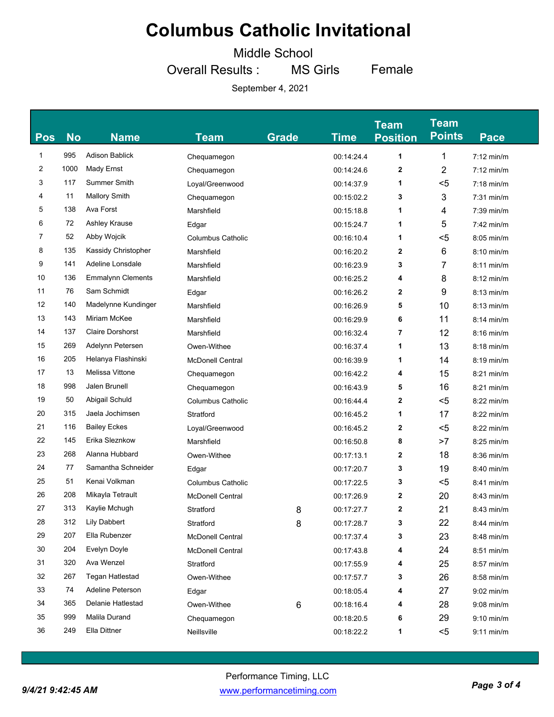Middle School

Overall Results : MS Girls Female

| <b>Pos</b> | <b>No</b> | <b>Name</b>              | Team                     | <b>Grade</b> | <b>Time</b> | <b>Team</b><br><b>Position</b> | <b>Team</b><br><b>Points</b> | <b>Pace</b>  |
|------------|-----------|--------------------------|--------------------------|--------------|-------------|--------------------------------|------------------------------|--------------|
| 1          | 995       | <b>Adison Bablick</b>    | Chequamegon              |              | 00:14:24.4  | 1                              | 1                            | $7:12$ min/m |
| 2          | 1000      | Mady Ernst               | Chequamegon              |              | 00:14:24.6  | 2                              | $\overline{2}$               | $7:12$ min/m |
| 3          | 117       | <b>Summer Smith</b>      | Loyal/Greenwood          |              | 00:14:37.9  | 1                              | <5                           | $7:18$ min/m |
| 4          | 11        | <b>Mallory Smith</b>     | Chequamegon              |              | 00:15:02.2  | 3                              | 3                            | $7:31$ min/m |
| 5          | 138       | Ava Forst                | Marshfield               |              | 00:15:18.8  | 1                              | 4                            | $7:39$ min/m |
| 6          | 72        | Ashley Krause            | Edgar                    |              | 00:15:24.7  | 1                              | 5                            | 7:42 min/m   |
| 7          | 52        | Abby Wojcik              | <b>Columbus Catholic</b> |              | 00:16:10.4  | 1                              | $5$                          | $8:05$ min/m |
| 8          | 135       | Kassidy Christopher      | Marshfield               |              | 00:16:20.2  | 2                              | 6                            | 8:10 min/m   |
| 9          | 141       | Adeline Lonsdale         | Marshfield               |              | 00:16:23.9  | 3                              | 7                            | $8:11$ min/m |
| 10         | 136       | <b>Emmalynn Clements</b> | Marshfield               |              | 00:16:25.2  | 4                              | 8                            | $8:12$ min/m |
| 11         | 76        | Sam Schmidt              | Edgar                    |              | 00:16:26.2  | 2                              | 9                            | $8:13$ min/m |
| 12         | 140       | Madelynne Kundinger      | Marshfield               |              | 00:16:26.9  | 5                              | 10                           | $8:13$ min/m |
| 13         | 143       | Miriam McKee             | Marshfield               |              | 00:16:29.9  | 6                              | 11                           | $8:14$ min/m |
| 14         | 137       | <b>Claire Dorshorst</b>  | Marshfield               |              | 00:16:32.4  | 7                              | 12                           | $8:16$ min/m |
| 15         | 269       | Adelynn Petersen         | Owen-Withee              |              | 00:16:37.4  | 1                              | 13                           | $8:18$ min/m |
| 16         | 205       | Helanya Flashinski       | <b>McDonell Central</b>  |              | 00:16:39.9  | 1                              | 14                           | $8:19$ min/m |
| 17         | 13        | Melissa Vittone          | Chequamegon              |              | 00:16:42.2  | 4                              | 15                           | $8:21$ min/m |
| 18         | 998       | Jalen Brunell            | Chequamegon              |              | 00:16:43.9  | 5                              | 16                           | $8:21$ min/m |
| 19         | 50        | Abigail Schuld           | <b>Columbus Catholic</b> |              | 00:16:44.4  | 2                              | $5$                          | $8:22$ min/m |
| 20         | 315       | Jaela Jochimsen          | Stratford                |              | 00:16:45.2  | 1                              | 17                           | $8:22$ min/m |
| 21         | 116       | <b>Bailey Eckes</b>      | Loyal/Greenwood          |              | 00:16:45.2  | 2                              | $5$                          | $8:22$ min/m |
| 22         | 145       | Erika Sleznkow           | Marshfield               |              | 00:16:50.8  | 8                              | >7                           | $8:25$ min/m |
| 23         | 268       | Alanna Hubbard           | Owen-Withee              |              | 00:17:13.1  | 2                              | 18                           | 8:36 min/m   |
| 24         | 77        | Samantha Schneider       | Edgar                    |              | 00:17:20.7  | 3                              | 19                           | 8:40 min/m   |
| 25         | 51        | Kenai Volkman            | <b>Columbus Catholic</b> |              | 00:17:22.5  | 3                              | $5$                          | 8:41 min/m   |
| 26         | 208       | Mikayla Tetrault         | <b>McDonell Central</b>  |              | 00:17:26.9  | 2                              | 20                           | 8:43 min/m   |
| 27         | 313       | Kaylie Mchugh            | Stratford                | 8            | 00:17:27.7  | 2                              | 21                           | 8:43 min/m   |
| 28         | 312       | <b>Lily Dabbert</b>      | Stratford                | 8            | 00:17:28.7  | 3                              | 22                           | 8:44 min/m   |
| 29         | 207       | Ella Rubenzer            | <b>McDonell Central</b>  |              | 00:17:37.4  | 3                              | 23                           | 8:48 min/m   |
| 30         | 204       | Evelyn Doyle             | <b>McDonell Central</b>  |              | 00:17:43.8  | 4                              | 24                           | $8:51$ min/m |
| 31         | 320       | Ava Wenzel               | Stratford                |              | 00:17:55.9  | 4                              | 25                           | 8:57 min/m   |
| 32         | 267       | <b>Tegan Hatlestad</b>   | Owen-Withee              |              | 00:17:57.7  | 3                              | 26                           | $8:58$ min/m |
| 33         | 74        | Adeline Peterson         | Edgar                    |              | 00:18:05.4  | 4                              | 27                           | $9:02$ min/m |
| 34         | 365       | Delanie Hatlestad        | Owen-Withee              | 6            | 00:18:16.4  | 4                              | 28                           | $9:08$ min/m |
| 35         | 999       | Malila Durand            | Chequamegon              |              | 00:18:20.5  | 6                              | 29                           | $9:10$ min/m |
| 36         | 249       | Ella Dittner             | Neillsville              |              | 00:18:22.2  | 1                              | $5$                          | $9:11$ min/m |